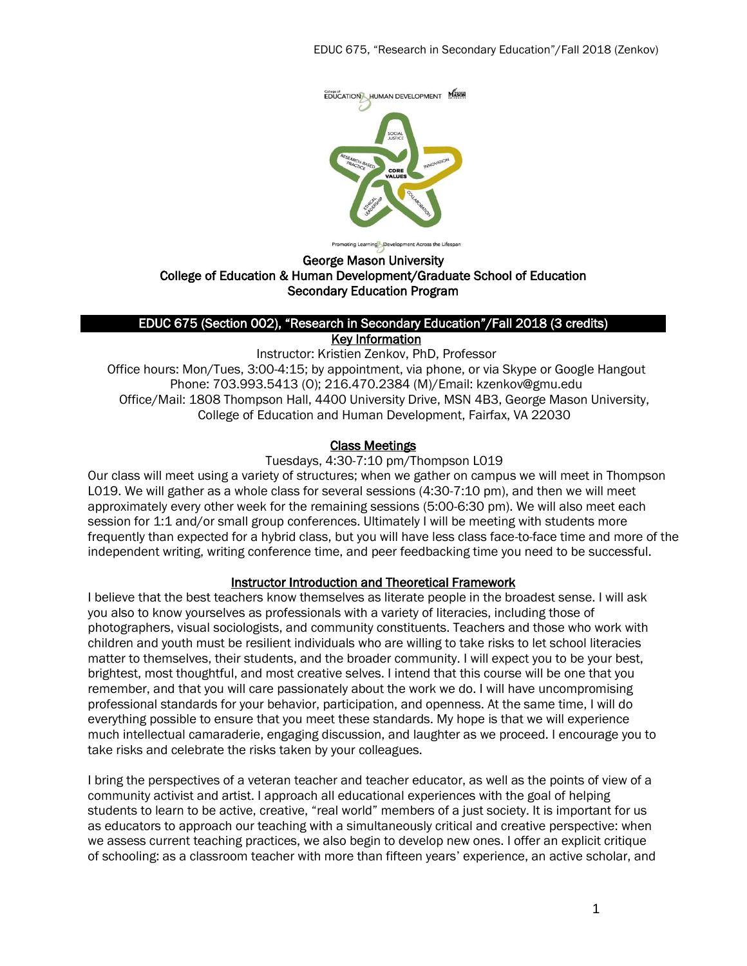

George Mason University

# College of Education & Human Development/Graduate School of Education Secondary Education Program

#### EDUC 675 (Section 002), "Research in Secondary Education"/Fall 2018 (3 credits) **Key Information**

Instructor: Kristien Zenkov, PhD, Professor Office hours: Mon/Tues, 3:00-4:15; by appointment, via phone, or via Skype or Google Hangout Phone: 703.993.5413 (O); 216.470.2384 (M)/Email: kzenkov@gmu.edu Office/Mail: 1808 Thompson Hall, 4400 University Drive, MSN 4B3, George Mason University, College of Education and Human Development, Fairfax, VA 22030

#### Class Meetings

Tuesdays, 4:30-7:10 pm/Thompson L019

Our class will meet using a variety of structures; when we gather on campus we will meet in Thompson L019. We will gather as a whole class for several sessions (4:30-7:10 pm), and then we will meet approximately every other week for the remaining sessions (5:00-6:30 pm). We will also meet each session for 1:1 and/or small group conferences. Ultimately I will be meeting with students more frequently than expected for a hybrid class, but you will have less class face-to-face time and more of the independent writing, writing conference time, and peer feedbacking time you need to be successful.

#### Instructor Introduction and Theoretical Framework

I believe that the best teachers know themselves as literate people in the broadest sense. I will ask you also to know yourselves as professionals with a variety of literacies, including those of photographers, visual sociologists, and community constituents. Teachers and those who work with children and youth must be resilient individuals who are willing to take risks to let school literacies matter to themselves, their students, and the broader community. I will expect you to be your best, brightest, most thoughtful, and most creative selves. I intend that this course will be one that you remember, and that you will care passionately about the work we do. I will have uncompromising professional standards for your behavior, participation, and openness. At the same time, I will do everything possible to ensure that you meet these standards. My hope is that we will experience much intellectual camaraderie, engaging discussion, and laughter as we proceed. I encourage you to take risks and celebrate the risks taken by your colleagues.

I bring the perspectives of a veteran teacher and teacher educator, as well as the points of view of a community activist and artist. I approach all educational experiences with the goal of helping students to learn to be active, creative, "real world" members of a just society. It is important for us as educators to approach our teaching with a simultaneously critical and creative perspective: when we assess current teaching practices, we also begin to develop new ones. I offer an explicit critique of schooling: as a classroom teacher with more than fifteen years' experience, an active scholar, and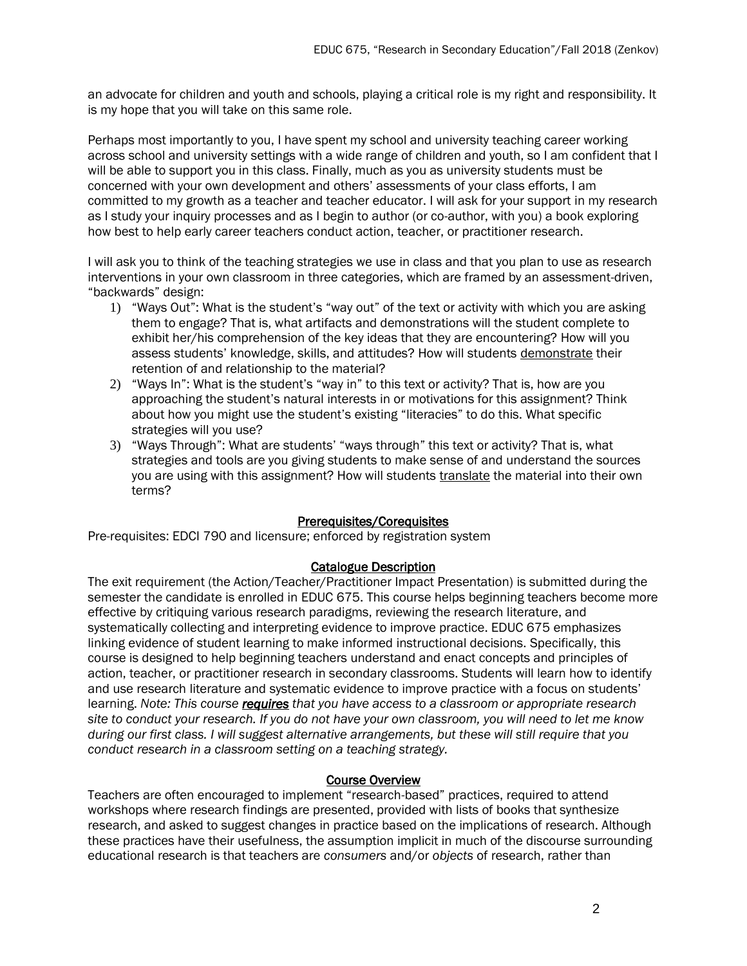an advocate for children and youth and schools, playing a critical role is my right and responsibility. It is my hope that you will take on this same role.

Perhaps most importantly to you, I have spent my school and university teaching career working across school and university settings with a wide range of children and youth, so I am confident that I will be able to support you in this class. Finally, much as you as university students must be concerned with your own development and others' assessments of your class efforts, I am committed to my growth as a teacher and teacher educator. I will ask for your support in my research as I study your inquiry processes and as I begin to author (or co-author, with you) a book exploring how best to help early career teachers conduct action, teacher, or practitioner research.

I will ask you to think of the teaching strategies we use in class and that you plan to use as research interventions in your own classroom in three categories, which are framed by an assessment-driven, "backwards" design:

- 1) "Ways Out": What is the student's "way out" of the text or activity with which you are asking them to engage? That is, what artifacts and demonstrations will the student complete to exhibit her/his comprehension of the key ideas that they are encountering? How will you assess students' knowledge, skills, and attitudes? How will students demonstrate their retention of and relationship to the material?
- 2) "Ways In": What is the student's "way in" to this text or activity? That is, how are you approaching the student's natural interests in or motivations for this assignment? Think about how you might use the student's existing "literacies" to do this. What specific strategies will you use?
- 3) "Ways Through": What are students' "ways through" this text or activity? That is, what strategies and tools are you giving students to make sense of and understand the sources you are using with this assignment? How will students translate the material into their own terms?

#### Prerequisites/Corequisites

Pre-requisites: EDCI 790 and licensure; enforced by registration system

# Catalogue Description

The exit requirement (the Action/Teacher/Practitioner Impact Presentation) is submitted during the semester the candidate is enrolled in EDUC 675. This course helps beginning teachers become more effective by critiquing various research paradigms, reviewing the research literature, and systematically collecting and interpreting evidence to improve practice. EDUC 675 emphasizes linking evidence of student learning to make informed instructional decisions. Specifically, this course is designed to help beginning teachers understand and enact concepts and principles of action, teacher, or practitioner research in secondary classrooms. Students will learn how to identify and use research literature and systematic evidence to improve practice with a focus on students' learning. *Note: This course requires that you have access to a classroom or appropriate research site to conduct your research. If you do not have your own classroom, you will need to let me know during our first class. I will suggest alternative arrangements, but these will still require that you conduct research in a classroom setting on a teaching strategy.*

#### Course Overview

Teachers are often encouraged to implement "research-based" practices, required to attend workshops where research findings are presented, provided with lists of books that synthesize research, and asked to suggest changes in practice based on the implications of research. Although these practices have their usefulness, the assumption implicit in much of the discourse surrounding educational research is that teachers are *consumers* and/or *objects* of research, rather than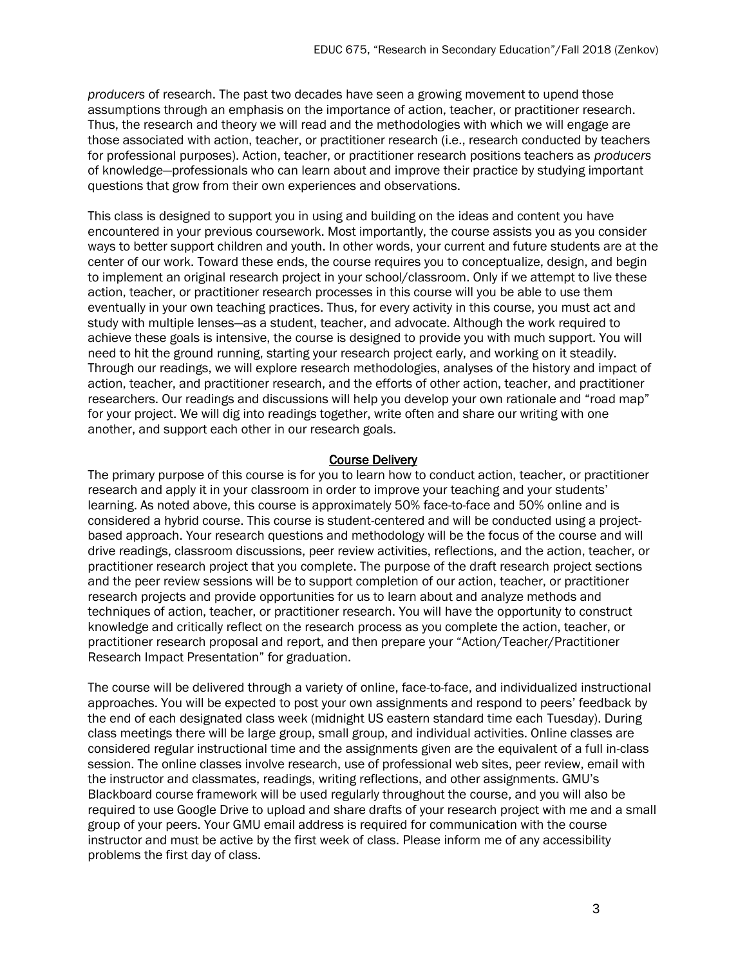*producers* of research. The past two decades have seen a growing movement to upend those assumptions through an emphasis on the importance of action, teacher, or practitioner research. Thus, the research and theory we will read and the methodologies with which we will engage are those associated with action, teacher, or practitioner research (i.e., research conducted by teachers for professional purposes). Action, teacher, or practitioner research positions teachers as *producers* of knowledge—professionals who can learn about and improve their practice by studying important questions that grow from their own experiences and observations.

This class is designed to support you in using and building on the ideas and content you have encountered in your previous coursework. Most importantly, the course assists you as you consider ways to better support children and youth. In other words, your current and future students are at the center of our work. Toward these ends, the course requires you to conceptualize, design, and begin to implement an original research project in your school/classroom. Only if we attempt to live these action, teacher, or practitioner research processes in this course will you be able to use them eventually in your own teaching practices. Thus, for every activity in this course, you must act and study with multiple lenses—as a student, teacher, and advocate. Although the work required to achieve these goals is intensive, the course is designed to provide you with much support. You will need to hit the ground running, starting your research project early, and working on it steadily. Through our readings, we will explore research methodologies, analyses of the history and impact of action, teacher, and practitioner research, and the efforts of other action, teacher, and practitioner researchers. Our readings and discussions will help you develop your own rationale and "road map" for your project. We will dig into readings together, write often and share our writing with one another, and support each other in our research goals.

#### Course Delivery

The primary purpose of this course is for you to learn how to conduct action, teacher, or practitioner research and apply it in your classroom in order to improve your teaching and your students' learning. As noted above, this course is approximately 50% face-to-face and 50% online and is considered a hybrid course. This course is student-centered and will be conducted using a projectbased approach. Your research questions and methodology will be the focus of the course and will drive readings, classroom discussions, peer review activities, reflections, and the action, teacher, or practitioner research project that you complete. The purpose of the draft research project sections and the peer review sessions will be to support completion of our action, teacher, or practitioner research projects and provide opportunities for us to learn about and analyze methods and techniques of action, teacher, or practitioner research. You will have the opportunity to construct knowledge and critically reflect on the research process as you complete the action, teacher, or practitioner research proposal and report, and then prepare your "Action/Teacher/Practitioner Research Impact Presentation" for graduation.

The course will be delivered through a variety of online, face-to-face, and individualized instructional approaches. You will be expected to post your own assignments and respond to peers' feedback by the end of each designated class week (midnight US eastern standard time each Tuesday). During class meetings there will be large group, small group, and individual activities. Online classes are considered regular instructional time and the assignments given are the equivalent of a full in-class session. The online classes involve research, use of professional web sites, peer review, email with the instructor and classmates, readings, writing reflections, and other assignments. GMU's Blackboard course framework will be used regularly throughout the course, and you will also be required to use Google Drive to upload and share drafts of your research project with me and a small group of your peers. Your GMU email address is required for communication with the course instructor and must be active by the first week of class. Please inform me of any accessibility problems the first day of class.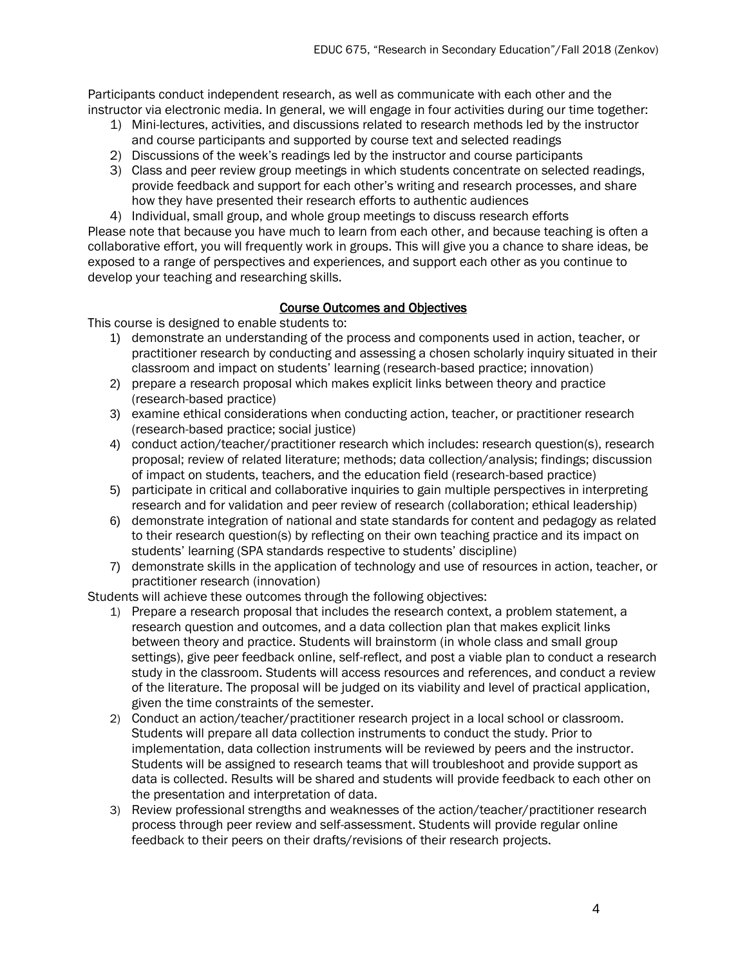Participants conduct independent research, as well as communicate with each other and the instructor via electronic media. In general, we will engage in four activities during our time together:

- 1) Mini-lectures, activities, and discussions related to research methods led by the instructor and course participants and supported by course text and selected readings
- 2) Discussions of the week's readings led by the instructor and course participants
- 3) Class and peer review group meetings in which students concentrate on selected readings, provide feedback and support for each other's writing and research processes, and share how they have presented their research efforts to authentic audiences

4) Individual, small group, and whole group meetings to discuss research efforts Please note that because you have much to learn from each other, and because teaching is often a collaborative effort, you will frequently work in groups. This will give you a chance to share ideas, be exposed to a range of perspectives and experiences, and support each other as you continue to develop your teaching and researching skills.

# Course Outcomes and Objectives

This course is designed to enable students to:

- 1) demonstrate an understanding of the process and components used in action, teacher, or practitioner research by conducting and assessing a chosen scholarly inquiry situated in their classroom and impact on students' learning (research-based practice; innovation)
- 2) prepare a research proposal which makes explicit links between theory and practice (research-based practice)
- 3) examine ethical considerations when conducting action, teacher, or practitioner research (research-based practice; social justice)
- 4) conduct action/teacher/practitioner research which includes: research question(s), research proposal; review of related literature; methods; data collection/analysis; findings; discussion of impact on students, teachers, and the education field (research-based practice)
- 5) participate in critical and collaborative inquiries to gain multiple perspectives in interpreting research and for validation and peer review of research (collaboration; ethical leadership)
- 6) demonstrate integration of national and state standards for content and pedagogy as related to their research question(s) by reflecting on their own teaching practice and its impact on students' learning (SPA standards respective to students' discipline)
- 7) demonstrate skills in the application of technology and use of resources in action, teacher, or practitioner research (innovation)

Students will achieve these outcomes through the following objectives:

- 1) Prepare a research proposal that includes the research context, a problem statement, a research question and outcomes, and a data collection plan that makes explicit links between theory and practice. Students will brainstorm (in whole class and small group settings), give peer feedback online, self-reflect, and post a viable plan to conduct a research study in the classroom. Students will access resources and references, and conduct a review of the literature. The proposal will be judged on its viability and level of practical application, given the time constraints of the semester.
- 2) Conduct an action/teacher/practitioner research project in a local school or classroom. Students will prepare all data collection instruments to conduct the study. Prior to implementation, data collection instruments will be reviewed by peers and the instructor. Students will be assigned to research teams that will troubleshoot and provide support as data is collected. Results will be shared and students will provide feedback to each other on the presentation and interpretation of data.
- 3) Review professional strengths and weaknesses of the action/teacher/practitioner research process through peer review and self-assessment. Students will provide regular online feedback to their peers on their drafts/revisions of their research projects.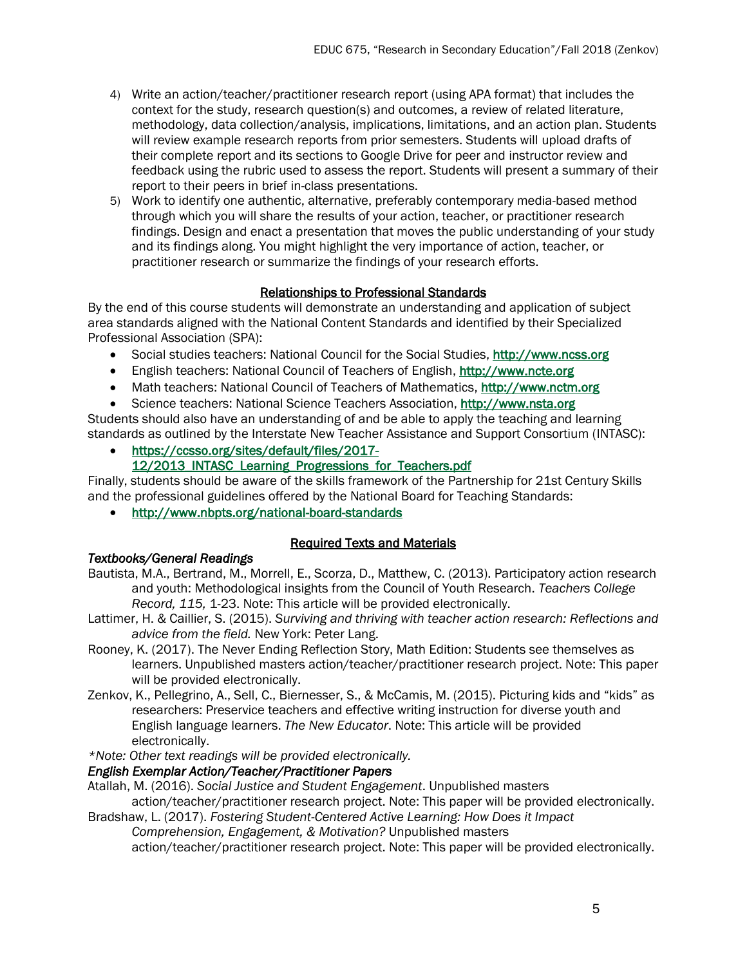- 4) Write an action/teacher/practitioner research report (using APA format) that includes the context for the study, research question(s) and outcomes, a review of related literature, methodology, data collection/analysis, implications, limitations, and an action plan. Students will review example research reports from prior semesters. Students will upload drafts of their complete report and its sections to Google Drive for peer and instructor review and feedback using the rubric used to assess the report. Students will present a summary of their report to their peers in brief in-class presentations.
- 5) Work to identify one authentic, alternative, preferably contemporary media-based method through which you will share the results of your action, teacher, or practitioner research findings. Design and enact a presentation that moves the public understanding of your study and its findings along. You might highlight the very importance of action, teacher, or practitioner research or summarize the findings of your research efforts.

# Relationships to Professional Standards

By the end of this course students will demonstrate an understanding and application of subject area standards aligned with the National Content Standards and identified by their Specialized Professional Association (SPA):

- Social studies teachers: National Council for the Social Studies, [http://www.ncss.org](http://www.ncss.org/)
- English teachers: National Council of Teachers of English, [http://www.ncte.org](http://www.ncte.org/)
- Math teachers: National Council of Teachers of Mathematics, [http://www.nctm.org](http://www.nctm.org/)
- Science teachers: National Science Teachers Association, [http://www.nsta.org](http://www.nsta.org/)

Students should also have an understanding of and be able to apply the teaching and learning standards as outlined by the Interstate New Teacher Assistance and Support Consortium (INTASC):

- [https://ccsso.org/sites/default/files/2017-](https://ccsso.org/sites/default/files/2017-12/2013_INTASC_Learning_Progressions_for_Teachers.pdf)
	- [12/2013\\_INTASC\\_Learning\\_Progressions\\_for\\_Teachers.pdf](https://ccsso.org/sites/default/files/2017-12/2013_INTASC_Learning_Progressions_for_Teachers.pdf)

Finally, students should be aware of the skills framework of the Partnership for 21st Century Skills and the professional guidelines offered by the National Board for Teaching Standards:

<http://www.nbpts.org/national-board-standards>

# Required Texts and Materials

# *Textbooks/General Readings*

- Bautista, M.A., Bertrand, M., Morrell, E., Scorza, D., Matthew, C. (2013). Participatory action research and youth: Methodological insights from the Council of Youth Research. *Teachers College Record, 115,* 1-23. Note: This article will be provided electronically.
- Lattimer, H. & Caillier, S. (2015). *Surviving and thriving with teacher action research: Reflections and advice from the field.* New York: Peter Lang.
- Rooney, K. (2017). The Never Ending Reflection Story, Math Edition: Students see themselves as learners. Unpublished masters action/teacher/practitioner research project. Note: This paper will be provided electronically.
- Zenkov, K., Pellegrino, A., Sell, C., Biernesser, S., & McCamis, M. (2015). Picturing kids and "kids" as researchers: Preservice teachers and effective writing instruction for diverse youth and English language learners. *The New Educator*. Note: This article will be provided electronically.
- *\*Note: Other text readings will be provided electronically.*

# *English Exemplar Action/Teacher/Practitioner Papers*

- Atallah, M. (2016). *Social Justice and Student Engagement*. Unpublished masters action/teacher/practitioner research project. Note: This paper will be provided electronically.
- Bradshaw, L. (2017). *Fostering Student-Centered Active Learning: How Does it Impact Comprehension, Engagement, & Motivation?* Unpublished masters

action/teacher/practitioner research project. Note: This paper will be provided electronically.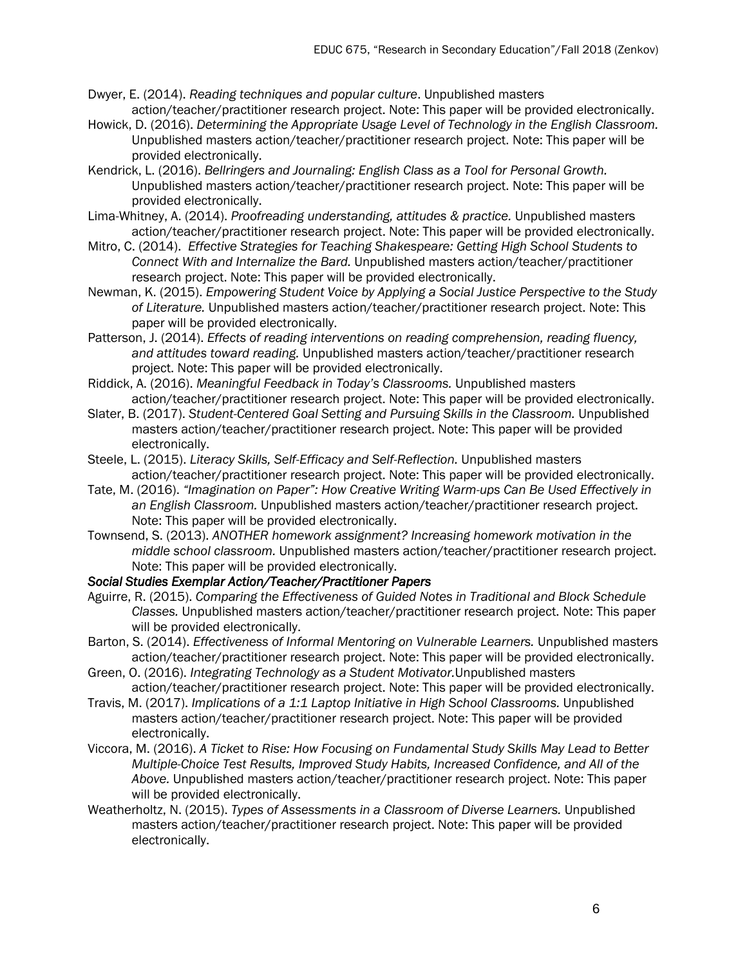- Dwyer, E. (2014). *Reading techniques and popular culture*. Unpublished masters action/teacher/practitioner research project. Note: This paper will be provided electronically.
- Howick, D. (2016). *Determining the Appropriate Usage Level of Technology in the English Classroom.*  Unpublished masters action/teacher/practitioner research project. Note: This paper will be provided electronically.
- Kendrick, L. (2016). *Bellringers and Journaling: English Class as a Tool for Personal Growth.* Unpublished masters action/teacher/practitioner research project. Note: This paper will be provided electronically.
- Lima-Whitney, A. (2014). *Proofreading understanding, attitudes & practice.* Unpublished masters action/teacher/practitioner research project. Note: This paper will be provided electronically.
- Mitro, C. (2014). *Effective Strategies for Teaching Shakespeare: Getting High School Students to Connect With and Internalize the Bard.* Unpublished masters action/teacher/practitioner research project. Note: This paper will be provided electronically.
- Newman, K. (2015). *Empowering Student Voice by Applying a Social Justice Perspective to the Study of Literature.* Unpublished masters action/teacher/practitioner research project. Note: This paper will be provided electronically.
- Patterson, J. (2014). *Effects of reading interventions on reading comprehension, reading fluency, and attitudes toward reading.* Unpublished masters action/teacher/practitioner research project. Note: This paper will be provided electronically.
- Riddick, A. (2016). *Meaningful Feedback in Today's Classrooms.* Unpublished masters action/teacher/practitioner research project. Note: This paper will be provided electronically.
- Slater, B. (2017). *Student-Centered Goal Setting and Pursuing Skills in the Classroom.* Unpublished masters action/teacher/practitioner research project. Note: This paper will be provided electronically.
- Steele, L. (2015). *Literacy Skills, Self-Efficacy and Self-Reflection.* Unpublished masters action/teacher/practitioner research project. Note: This paper will be provided electronically.
- Tate, M. (2016). *"Imagination on Paper": How Creative Writing Warm-ups Can Be Used Effectively in an English Classroom.* Unpublished masters action/teacher/practitioner research project. Note: This paper will be provided electronically.
- Townsend, S. (2013). *ANOTHER homework assignment? Increasing homework motivation in the middle school classroom.* Unpublished masters action/teacher/practitioner research project. Note: This paper will be provided electronically.

#### *Social Studies Exemplar Action/Teacher/Practitioner Papers*

- Aguirre, R. (2015). *Comparing the Effectiveness of Guided Notes in Traditional and Block Schedule Classes.* Unpublished masters action/teacher/practitioner research project. Note: This paper will be provided electronically.
- Barton, S. (2014). *Effectiveness of Informal Mentoring on Vulnerable Learners.* Unpublished masters action/teacher/practitioner research project. Note: This paper will be provided electronically.
- Green, O. (2016). *Integrating Technology as a Student Motivator.*Unpublished masters action/teacher/practitioner research project. Note: This paper will be provided electronically.
- Travis, M. (2017). *Implications of a 1:1 Laptop Initiative in High School Classrooms.* Unpublished masters action/teacher/practitioner research project. Note: This paper will be provided electronically.
- Viccora, M. (2016). *A Ticket to Rise: How Focusing on Fundamental Study Skills May Lead to Better Multiple-Choice Test Results, Improved Study Habits, Increased Confidence, and All of the Above.* Unpublished masters action/teacher/practitioner research project. Note: This paper will be provided electronically.
- Weatherholtz, N. (2015). *Types of Assessments in a Classroom of Diverse Learners.* Unpublished masters action/teacher/practitioner research project. Note: This paper will be provided electronically.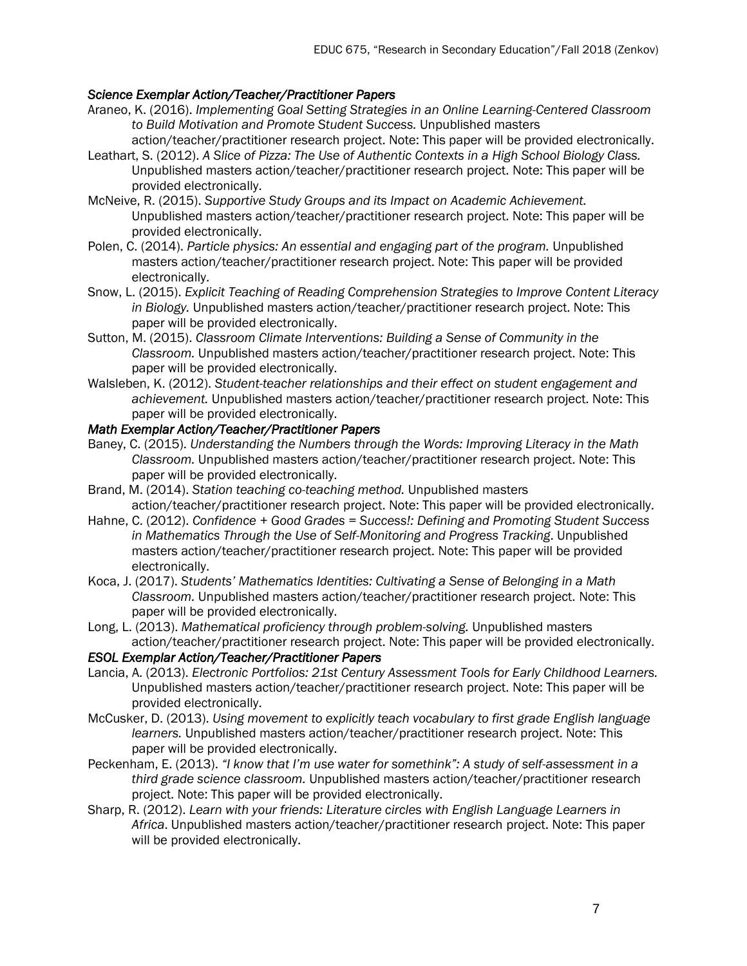## *Science Exemplar Action/Teacher/Practitioner Papers*

- Araneo, K. (2016). *Implementing Goal Setting Strategies in an Online Learning-Centered Classroom to Build Motivation and Promote Student Success.* Unpublished masters action/teacher/practitioner research project. Note: This paper will be provided electronically.
- Leathart, S. (2012). *A Slice of Pizza: The Use of Authentic Contexts in a High School Biology Class.* Unpublished masters action/teacher/practitioner research project. Note: This paper will be provided electronically.
- McNeive, R. (2015). *Supportive Study Groups and its Impact on Academic Achievement.* Unpublished masters action/teacher/practitioner research project. Note: This paper will be provided electronically.
- Polen, C. (2014). *Particle physics: An essential and engaging part of the program.* Unpublished masters action/teacher/practitioner research project. Note: This paper will be provided electronically.
- Snow, L. (2015). *Explicit Teaching of Reading Comprehension Strategies to Improve Content Literacy in Biology.* Unpublished masters action/teacher/practitioner research project. Note: This paper will be provided electronically.
- Sutton, M. (2015). *Classroom Climate Interventions: Building a Sense of Community in the Classroom.* Unpublished masters action/teacher/practitioner research project. Note: This paper will be provided electronically.
- Walsleben, K. (2012). *Student-teacher relationships and their effect on student engagement and achievement.* Unpublished masters action/teacher/practitioner research project. Note: This paper will be provided electronically.

### *Math Exemplar Action/Teacher/Practitioner Papers*

- Baney, C. (2015). *Understanding the Numbers through the Words: Improving Literacy in the Math Classroom.* Unpublished masters action/teacher/practitioner research project. Note: This paper will be provided electronically.
- Brand, M. (2014). *Station teaching co-teaching method.* Unpublished masters action/teacher/practitioner research project. Note: This paper will be provided electronically.
- Hahne, C. (2012). *Confidence + Good Grades = Success!: Defining and Promoting Student Success in Mathematics Through the Use of Self-Monitoring and Progress Tracking*. Unpublished masters action/teacher/practitioner research project. Note: This paper will be provided electronically.
- Koca, J. (2017). *Students' Mathematics Identities: Cultivating a Sense of Belonging in a Math Classroom.* Unpublished masters action/teacher/practitioner research project. Note: This paper will be provided electronically.
- Long, L. (2013). *Mathematical proficiency through problem-solving.* Unpublished masters action/teacher/practitioner research project. Note: This paper will be provided electronically.

#### *ESOL Exemplar Action/Teacher/Practitioner Papers*

- Lancia, A. (2013). *Electronic Portfolios: 21st Century Assessment Tools for Early Childhood Learners.* Unpublished masters action/teacher/practitioner research project. Note: This paper will be provided electronically.
- McCusker, D. (2013). *Using movement to explicitly teach vocabulary to first grade English language learners.* Unpublished masters action/teacher/practitioner research project. Note: This paper will be provided electronically.
- Peckenham, E. (2013). *"I know that I'm use water for somethink": A study of self-assessment in a third grade science classroom.* Unpublished masters action/teacher/practitioner research project. Note: This paper will be provided electronically.
- Sharp, R. (2012). *Learn with your friends: Literature circles with English Language Learners in Africa*. Unpublished masters action/teacher/practitioner research project. Note: This paper will be provided electronically.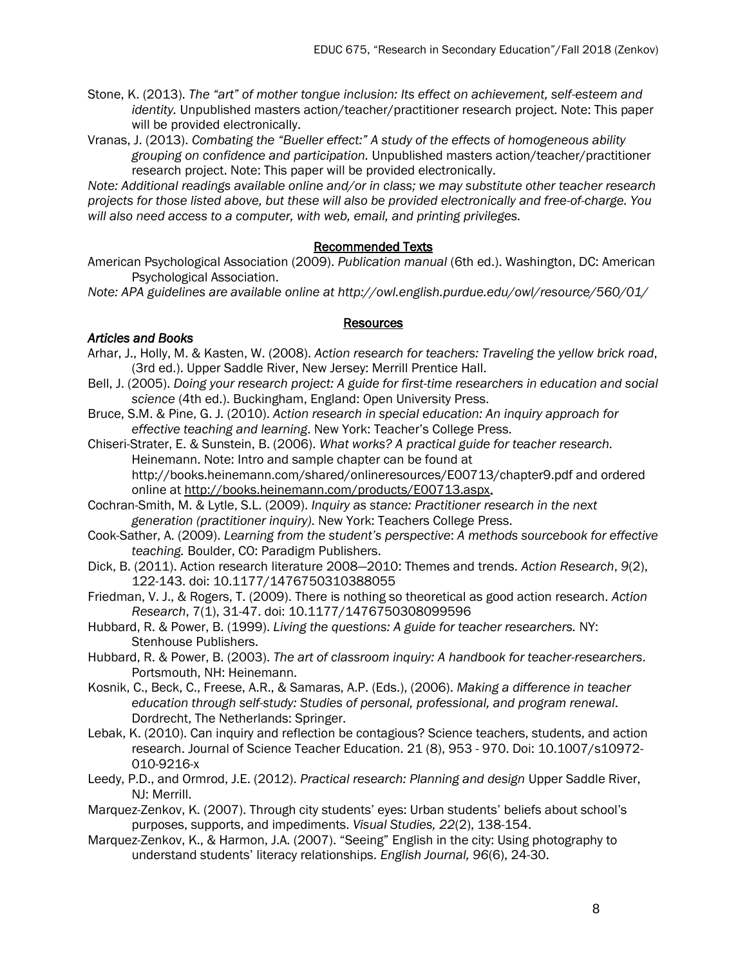Stone, K. (2013). *The "art" of mother tongue inclusion: Its effect on achievement, self-esteem and identity.* Unpublished masters action/teacher/practitioner research project. Note: This paper will be provided electronically.

Vranas, J. (2013). *Combating the "Bueller effect:" A study of the effects of homogeneous ability grouping on confidence and participation.* Unpublished masters action/teacher/practitioner research project. Note: This paper will be provided electronically.

*Note: Additional readings available online and/or in class; we may substitute other teacher research projects for those listed above, but these will also be provided electronically and free-of-charge. You will also need access to a computer, with web, email, and printing privileges.*

### Recommended Texts

American Psychological Association (2009). *Publication manual* (6th ed.). Washington, DC: American Psychological Association.

*Note: APA guidelines are available online at http://owl.english.purdue.edu/owl/resource/560/01/*

#### **Resources**

### *Articles and Books*

- Arhar, J., Holly, M. & Kasten, W. (2008). *Action research for teachers: Traveling the yellow brick road*, (3rd ed.). Upper Saddle River, New Jersey: Merrill Prentice Hall.
- Bell, J. (2005). *Doing your research project: A guide for first-time researchers in education and social science* (4th ed.). Buckingham, England: Open University Press.
- Bruce, S.M. & Pine, G. J. (2010). *Action research in special education: An inquiry approach for effective teaching and learning*. New York: Teacher's College Press.
- Chiseri-Strater, E. & Sunstein, B. (2006). *What works? A practical guide for teacher research.*  Heinemann. Note: Intro and sample chapter can be found at http://books.heinemann.com/shared/onlineresources/E00713/chapter9.pdf and ordered online at [http://books.heinemann.com/products/E00713.aspx.](http://books.heinemann.com/products/E00713.aspx)
- Cochran-Smith, M. & Lytle, S.L. (2009). *Inquiry as stance: Practitioner research in the next generation (practitioner inquiry)*. New York: Teachers College Press.
- Cook-Sather, A. (2009). *Learning from the student's perspective*: *A methods sourcebook for effective teaching.* Boulder, CO: Paradigm Publishers.

Dick, B. (2011). Action research literature 2008—2010: Themes and trends. *Action Research*, *9*(2), 122-143. doi: 10.1177/1476750310388055

Friedman, V. J., & Rogers, T. (2009). There is nothing so theoretical as good action research. *Action Research*, 7(1), 31-47. doi: 10.1177/1476750308099596

- Hubbard, R. & Power, B. (1999). *Living the questions: A guide for teacher researchers.* NY: Stenhouse Publishers.
- Hubbard, R. & Power, B. (2003). *The art of classroom inquiry: A handbook for teacher-researchers*. Portsmouth, NH: Heinemann.
- Kosnik, C., Beck, C., Freese, A.R., & Samaras, A.P. (Eds.), (2006). *Making a difference in teacher education through self-study: Studies of personal, professional, and program renewal*. Dordrecht, The Netherlands: Springer.
- Lebak, K. (2010). Can inquiry and reflection be contagious? Science teachers, students, and action research. Journal of Science Teacher Education. 21 (8), 953 - 970. Doi: 10.1007/s10972- 010-9216-x
- Leedy, P.D., and Ormrod, J.E. (2012). *Practical research: Planning and design* Upper Saddle River, NJ: Merrill.
- Marquez-Zenkov, K. (2007). Through city students' eyes: Urban students' beliefs about school's purposes, supports, and impediments. *Visual Studies, 22*(2), 138-154.
- Marquez-Zenkov, K., & Harmon, J.A. (2007). "Seeing" English in the city: Using photography to understand students' literacy relationships. *English Journal, 96*(6), 24-30.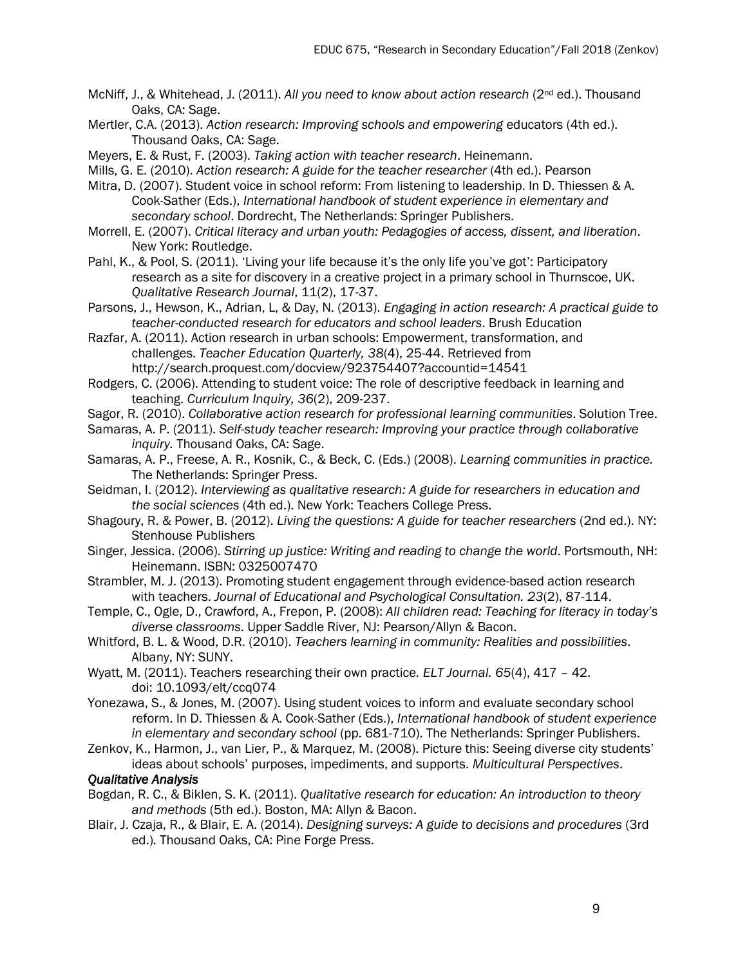- McNiff, J., & Whitehead, J. (2011). *All you need to know about action research* (2nd ed.). Thousand Oaks, CA: Sage.
- Mertler, C.A. (2013). *Action research: Improving schools and empowering* educators (4th ed.). Thousand Oaks, CA: Sage.
- Meyers, E. & Rust, F. (2003). *Taking action with teacher research*. Heinemann.
- Mills, G. E. (2010). *Action research: A guide for the teacher researcher* (4th ed.). Pearson
- Mitra, D. (2007). Student voice in school reform: From listening to leadership. In D. Thiessen & A. Cook-Sather (Eds.), *International handbook of student experience in elementary and secondary school*. Dordrecht, The Netherlands: Springer Publishers.
- Morrell, E. (2007). *Critical literacy and urban youth: Pedagogies of access, dissent, and liberation*. New York: Routledge.
- Pahl, K., & Pool, S. (2011). 'Living your life because it's the only life you've got': Participatory research as a site for discovery in a creative project in a primary school in Thurnscoe, UK. *Qualitative Research Journal*, 11(2), 17-37.
- Parsons, J., Hewson, K., Adrian, L, & Day, N. (2013). *Engaging in action research: A practical guide to teacher-conducted research for educators and school leaders*. Brush Education
- Razfar, A. (2011). Action research in urban schools: Empowerment, transformation, and challenges. *Teacher Education Quarterly, 38*(4), 25-44. Retrieved from http://search.proquest.com/docview/923754407?accountid=14541
- Rodgers, C. (2006). Attending to student voice: The role of descriptive feedback in learning and teaching. *Curriculum Inquiry, 36*(2), 209-237.
- Sagor, R. (2010). *Collaborative action research for professional learning communities*. Solution Tree.
- Samaras, A. P. (2011). *Self-study teacher research: Improving your practice through collaborative inquiry.* Thousand Oaks, CA: Sage.
- Samaras, A. P., Freese, A. R., Kosnik, C., & Beck, C. (Eds.) (2008). *Learning communities in practice.*  The Netherlands: Springer Press.
- Seidman, I. (2012). *Interviewing as qualitative research: A guide for researchers in education and the social sciences* (4th ed.). New York: Teachers College Press.
- Shagoury, R. & Power, B. (2012). *Living the questions: A guide for teacher researchers* (2nd ed.). NY: Stenhouse Publishers
- Singer, Jessica. (2006). *Stirring up justice: Writing and reading to change the world*. Portsmouth, NH: Heinemann. ISBN: 0325007470
- Strambler, M. J. (2013). Promoting student engagement through evidence-based action research with teachers. *Journal of Educational and Psychological Consultation. 23*(2), 87-114.
- Temple, C., Ogle, D., Crawford, A., Frepon, P. (2008): *All children read: Teaching for literacy in today's diverse classrooms*. Upper Saddle River, NJ: Pearson/Allyn & Bacon.
- Whitford, B. L. & Wood, D.R. (2010). *Teachers learning in community: Realities and possibilities*. Albany, NY: SUNY.
- Wyatt, M. (2011). Teachers researching their own practice*. ELT Journal. 65*(4), 417 42. doi: 10.1093/elt/ccq074
- Yonezawa, S., & Jones, M. (2007). Using student voices to inform and evaluate secondary school reform. In D. Thiessen & A. Cook-Sather (Eds.), *International handbook of student experience in elementary and secondary school* (pp. 681-710). The Netherlands: Springer Publishers.
- Zenkov, K., Harmon, J., van Lier, P., & Marquez, M. (2008). Picture this: Seeing diverse city students' ideas about schools' purposes, impediments, and supports. *Multicultural Perspectives*.

# *Qualitative Analysis*

- Bogdan, R. C., & Biklen, S. K. (2011). *Qualitative research for education: An introduction to theory and methods* (5th ed.). Boston, MA: Allyn & Bacon.
- Blair, J. Czaja, R., & Blair, E. A. (2014). *Designing surveys: A guide to decisions and procedures* (3rd ed.)*.* Thousand Oaks, CA: Pine Forge Press.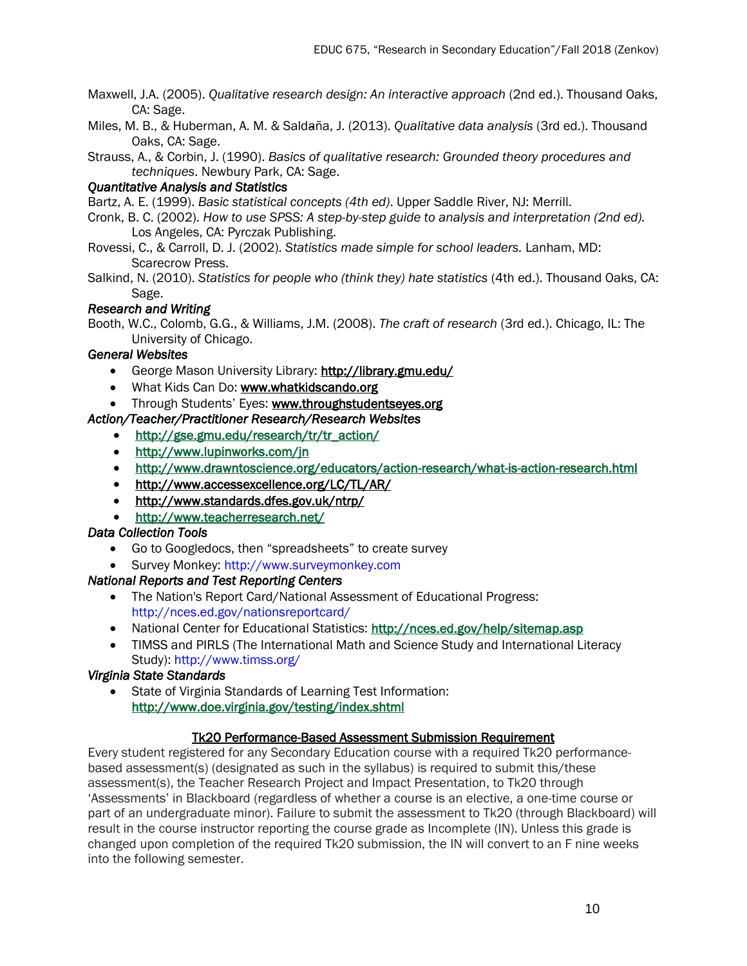- Maxwell, J.A. (2005). *Qualitative research design: An interactive approach* (2nd ed.). Thousand Oaks, CA: Sage.
- Miles, M. B., & Huberman, A. M. & Salda̴̴̴ña, J. (2013). *Qualitative data analysis* (3rd ed.). Thousand Oaks, CA: Sage.
- Strauss, A., & Corbin, J. (1990). *Basics of qualitative research: Grounded theory procedures and techniques*. Newbury Park, CA: Sage.

# *Quantitative Analysis and Statistics*

Bartz, A. E. (1999). *Basic statistical concepts (4th ed)*. Upper Saddle River, NJ: Merrill.

- Cronk, B. C. (2002). *How to use SPSS: A step-by-step guide to analysis and interpretation (2nd ed).*  Los Angeles, CA: Pyrczak Publishing.
- Rovessi, C., & Carroll, D. J. (2002). *Statistics made simple for school leaders.* Lanham, MD: Scarecrow Press.
- Salkind, N. (2010). *Statistics for people who (think they) hate statistics (4th ed.)*. Thousand Oaks, CA: Sage.

# *Research and Writing*

Booth, W.C., Colomb, G.G., & Williams, J.M. (2008). *The craft of research* (3rd ed.). Chicago, IL: The University of Chicago.

# *General Websites*

- George Mason University Library:<http://library.gmu.edu/>
- What Kids Can Do: [www.whatkidscando.org](http://www.whatkidscando.org/)
- Through Students' Eyes: [www.throughstudentseyes.org](http://www.throughstudentseyes.org/)

# *Action/Teacher/Practitioner Research/Research Websites*

- [http://gse.gmu.edu/research/tr/tr\\_action/](http://gse.gmu.edu/research/tr/tr_action/)
- <http://www.lupinworks.com/jn>
- <http://www.drawntoscience.org/educators/action-research/what-is-action-research.html>
- <http://www.accessexcellence.org/LC/TL/AR/>
- <http://www.standards.dfes.gov.uk/ntrp/>
- <http://www.teacherresearch.net/>

# *Data Collection Tools*

- Go to Googledocs, then "spreadsheets" to create survey
- **Survey Monkey: http://www.surveymonkey.com**

# *National Reports and Test Reporting Centers*

- The Nation's Report Card/National Assessment of Educational Progress: http://nces.ed.gov/nationsreportcard/
- National Center for Educational Statistics: http://nces.ed.gov/help/sitemap.asp
- TIMSS and PIRLS (The International Math and Science Study and International Literacy Study): http://www.timss.org/

# *Virginia State Standards*

 State of Virginia Standards of Learning Test Information: <http://www.doe.virginia.gov/testing/index.shtml>

# Tk20 Performance-Based Assessment Submission Requirement

Every student registered for any Secondary Education course with a required Tk20 performancebased assessment(s) (designated as such in the syllabus) is required to submit this/these assessment(s), the Teacher Research Project and Impact Presentation, to Tk20 through 'Assessments' in Blackboard (regardless of whether a course is an elective, a one-time course or part of an undergraduate minor). Failure to submit the assessment to Tk20 (through Blackboard) will result in the course instructor reporting the course grade as Incomplete (IN). Unless this grade is changed upon completion of the required Tk20 submission, the IN will convert to an F nine weeks into the following semester.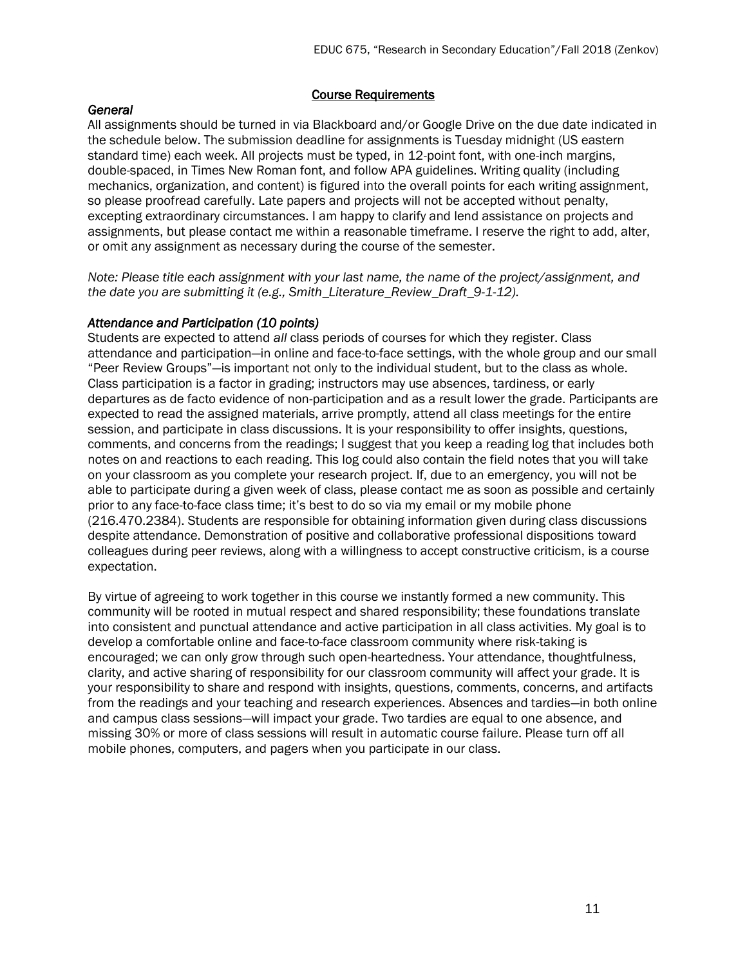### Course Requirements

## *General*

All assignments should be turned in via Blackboard and/or Google Drive on the due date indicated in the schedule below. The submission deadline for assignments is Tuesday midnight (US eastern standard time) each week. All projects must be typed, in 12-point font, with one-inch margins, double-spaced, in Times New Roman font, and follow APA guidelines. Writing quality (including mechanics, organization, and content) is figured into the overall points for each writing assignment, so please proofread carefully. Late papers and projects will not be accepted without penalty, excepting extraordinary circumstances. I am happy to clarify and lend assistance on projects and assignments, but please contact me within a reasonable timeframe. I reserve the right to add, alter, or omit any assignment as necessary during the course of the semester.

*Note: Please title each assignment with your last name, the name of the project/assignment, and the date you are submitting it (e.g., Smith\_Literature\_Review\_Draft\_9-1-12).*

### *Attendance and Participation (10 points)*

Students are expected to attend *all* class periods of courses for which they register. Class attendance and participation—in online and face-to-face settings, with the whole group and our small "Peer Review Groups"—is important not only to the individual student, but to the class as whole. Class participation is a factor in grading; instructors may use absences, tardiness, or early departures as de facto evidence of non-participation and as a result lower the grade. Participants are expected to read the assigned materials, arrive promptly, attend all class meetings for the entire session, and participate in class discussions. It is your responsibility to offer insights, questions, comments, and concerns from the readings; I suggest that you keep a reading log that includes both notes on and reactions to each reading. This log could also contain the field notes that you will take on your classroom as you complete your research project. If, due to an emergency, you will not be able to participate during a given week of class, please contact me as soon as possible and certainly prior to any face-to-face class time; it's best to do so via my email or my mobile phone (216.470.2384). Students are responsible for obtaining information given during class discussions despite attendance. Demonstration of positive and collaborative professional dispositions toward colleagues during peer reviews, along with a willingness to accept constructive criticism, is a course expectation.

By virtue of agreeing to work together in this course we instantly formed a new community. This community will be rooted in mutual respect and shared responsibility; these foundations translate into consistent and punctual attendance and active participation in all class activities. My goal is to develop a comfortable online and face-to-face classroom community where risk-taking is encouraged; we can only grow through such open-heartedness. Your attendance, thoughtfulness, clarity, and active sharing of responsibility for our classroom community will affect your grade. It is your responsibility to share and respond with insights, questions, comments, concerns, and artifacts from the readings and your teaching and research experiences. Absences and tardies—in both online and campus class sessions—will impact your grade. Two tardies are equal to one absence, and missing 30% or more of class sessions will result in automatic course failure. Please turn off all mobile phones, computers, and pagers when you participate in our class.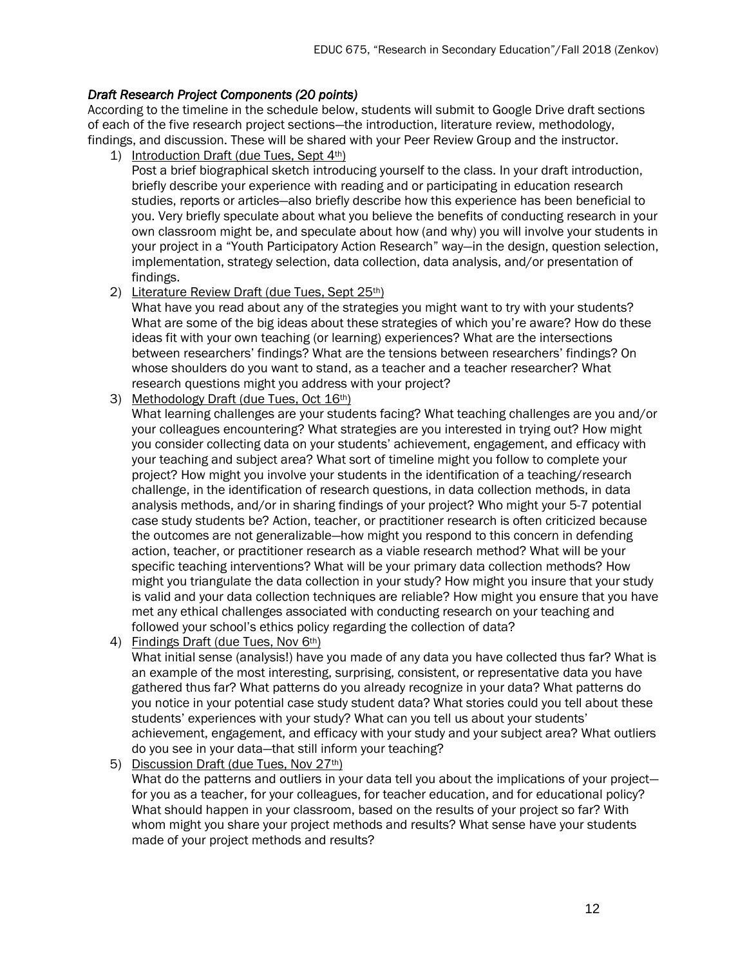# *Draft Research Project Components (20 points)*

According to the timeline in the schedule below, students will submit to Google Drive draft sections of each of the five research project sections—the introduction, literature review, methodology, findings, and discussion. These will be shared with your Peer Review Group and the instructor.

1) Introduction Draft (due Tues, Sept 4th)

Post a brief biographical sketch introducing yourself to the class. In your draft introduction, briefly describe your experience with reading and or participating in education research studies, reports or articles—also briefly describe how this experience has been beneficial to you. Very briefly speculate about what you believe the benefits of conducting research in your own classroom might be, and speculate about how (and why) you will involve your students in your project in a "Youth Participatory Action Research" way—in the design, question selection, implementation, strategy selection, data collection, data analysis, and/or presentation of findings.

2) Literature Review Draft (due Tues, Sept 25th)

What have you read about any of the strategies you might want to try with your students? What are some of the big ideas about these strategies of which you're aware? How do these ideas fit with your own teaching (or learning) experiences? What are the intersections between researchers' findings? What are the tensions between researchers' findings? On whose shoulders do you want to stand, as a teacher and a teacher researcher? What research questions might you address with your project?

3) Methodology Draft (due Tues, Oct 16th)

What learning challenges are your students facing? What teaching challenges are you and/or your colleagues encountering? What strategies are you interested in trying out? How might you consider collecting data on your students' achievement, engagement, and efficacy with your teaching and subject area? What sort of timeline might you follow to complete your project? How might you involve your students in the identification of a teaching/research challenge, in the identification of research questions, in data collection methods, in data analysis methods, and/or in sharing findings of your project? Who might your 5-7 potential case study students be? Action, teacher, or practitioner research is often criticized because the outcomes are not generalizable—how might you respond to this concern in defending action, teacher, or practitioner research as a viable research method? What will be your specific teaching interventions? What will be your primary data collection methods? How might you triangulate the data collection in your study? How might you insure that your study is valid and your data collection techniques are reliable? How might you ensure that you have met any ethical challenges associated with conducting research on your teaching and followed your school's ethics policy regarding the collection of data?

4) Findings Draft (due Tues, Nov 6th)

What initial sense (analysis!) have you made of any data you have collected thus far? What is an example of the most interesting, surprising, consistent, or representative data you have gathered thus far? What patterns do you already recognize in your data? What patterns do you notice in your potential case study student data? What stories could you tell about these students' experiences with your study? What can you tell us about your students' achievement, engagement, and efficacy with your study and your subject area? What outliers do you see in your data—that still inform your teaching?

5) Discussion Draft (due Tues, Nov 27<sup>th</sup>)

What do the patterns and outliers in your data tell you about the implications of your projectfor you as a teacher, for your colleagues, for teacher education, and for educational policy? What should happen in your classroom, based on the results of your project so far? With whom might you share your project methods and results? What sense have your students made of your project methods and results?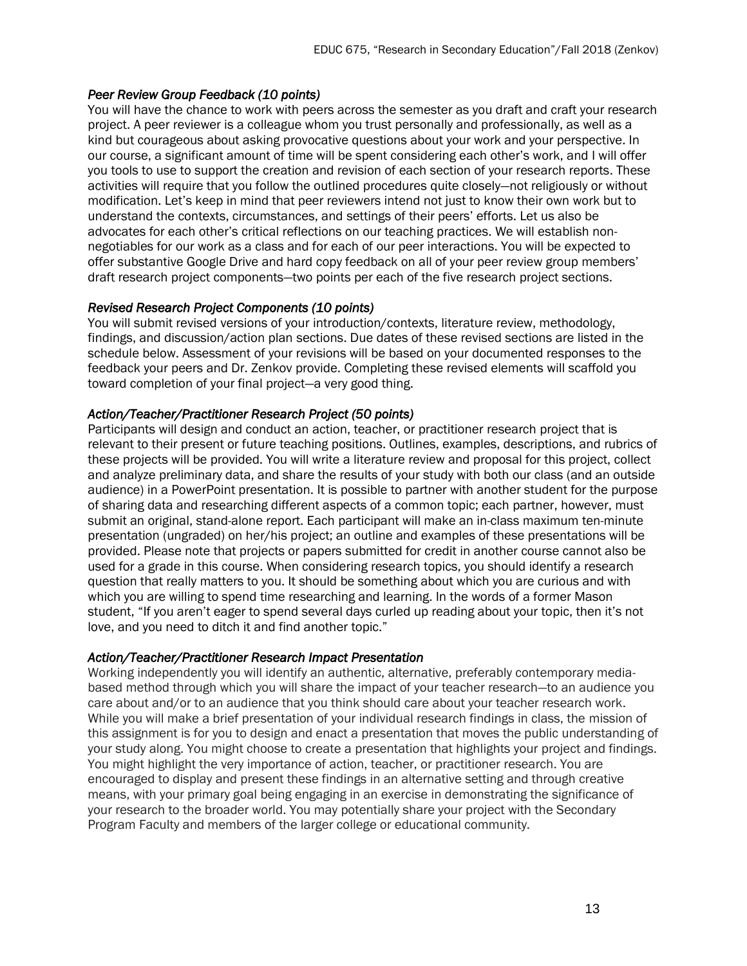# *Peer Review Group Feedback (10 points)*

You will have the chance to work with peers across the semester as you draft and craft your research project. A peer reviewer is a colleague whom you trust personally and professionally, as well as a kind but courageous about asking provocative questions about your work and your perspective. In our course, a significant amount of time will be spent considering each other's work, and I will offer you tools to use to support the creation and revision of each section of your research reports. These activities will require that you follow the outlined procedures quite closely—not religiously or without modification. Let's keep in mind that peer reviewers intend not just to know their own work but to understand the contexts, circumstances, and settings of their peers' efforts. Let us also be advocates for each other's critical reflections on our teaching practices. We will establish nonnegotiables for our work as a class and for each of our peer interactions. You will be expected to offer substantive Google Drive and hard copy feedback on all of your peer review group members' draft research project components—two points per each of the five research project sections.

#### *Revised Research Project Components (10 points)*

You will submit revised versions of your introduction/contexts, literature review, methodology, findings, and discussion/action plan sections. Due dates of these revised sections are listed in the schedule below. Assessment of your revisions will be based on your documented responses to the feedback your peers and Dr. Zenkov provide. Completing these revised elements will scaffold you toward completion of your final project—a very good thing.

### *Action/Teacher/Practitioner Research Project (50 points)*

Participants will design and conduct an action, teacher, or practitioner research project that is relevant to their present or future teaching positions. Outlines, examples, descriptions, and rubrics of these projects will be provided. You will write a literature review and proposal for this project, collect and analyze preliminary data, and share the results of your study with both our class (and an outside audience) in a PowerPoint presentation. It is possible to partner with another student for the purpose of sharing data and researching different aspects of a common topic; each partner, however, must submit an original, stand-alone report. Each participant will make an in-class maximum ten-minute presentation (ungraded) on her/his project; an outline and examples of these presentations will be provided. Please note that projects or papers submitted for credit in another course cannot also be used for a grade in this course. When considering research topics, you should identify a research question that really matters to you. It should be something about which you are curious and with which you are willing to spend time researching and learning. In the words of a former Mason student, "If you aren't eager to spend several days curled up reading about your topic, then it's not love, and you need to ditch it and find another topic."

#### *Action/Teacher/Practitioner Research Impact Presentation*

Working independently you will identify an authentic, alternative, preferably contemporary mediabased method through which you will share the impact of your teacher research—to an audience you care about and/or to an audience that you think should care about your teacher research work. While you will make a brief presentation of your individual research findings in class, the mission of this assignment is for you to design and enact a presentation that moves the public understanding of your study along. You might choose to create a presentation that highlights your project and findings. You might highlight the very importance of action, teacher, or practitioner research. You are encouraged to display and present these findings in an alternative setting and through creative means, with your primary goal being engaging in an exercise in demonstrating the significance of your research to the broader world. You may potentially share your project with the Secondary Program Faculty and members of the larger college or educational community.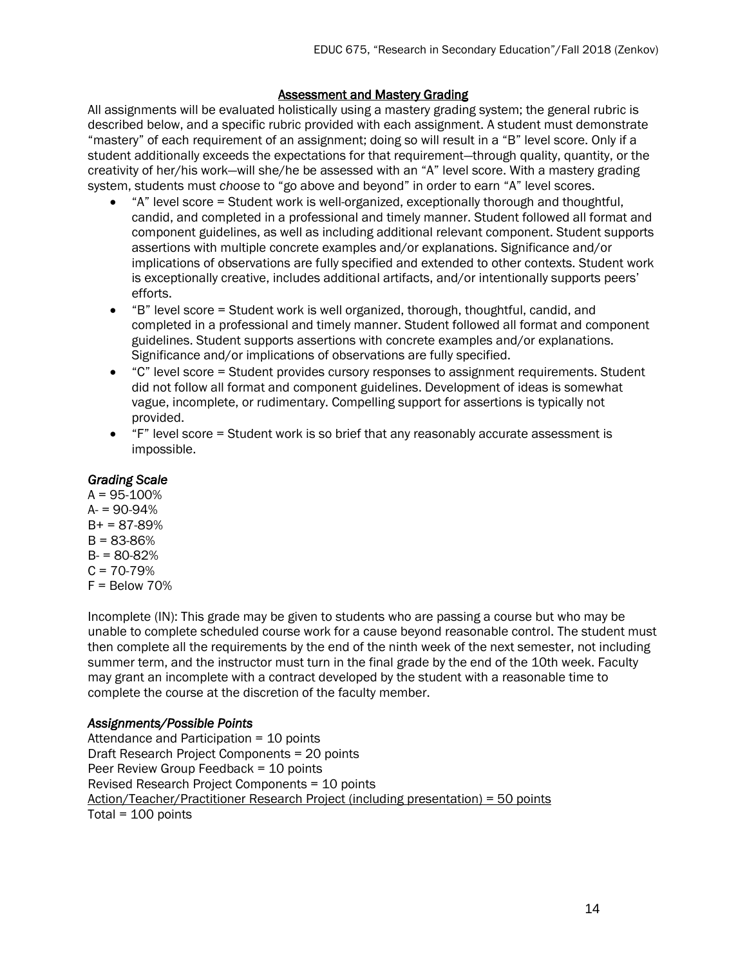## **Assessment and Mastery Grading**

All assignments will be evaluated holistically using a mastery grading system; the general rubric is described below, and a specific rubric provided with each assignment. A student must demonstrate "mastery" of each requirement of an assignment; doing so will result in a "B" level score. Only if a student additionally exceeds the expectations for that requirement—through quality, quantity, or the creativity of her/his work—will she/he be assessed with an "A" level score. With a mastery grading system, students must *choose* to "go above and beyond" in order to earn "A" level scores.

- "A" level score = Student work is well-organized, exceptionally thorough and thoughtful, candid, and completed in a professional and timely manner. Student followed all format and component guidelines, as well as including additional relevant component. Student supports assertions with multiple concrete examples and/or explanations. Significance and/or implications of observations are fully specified and extended to other contexts. Student work is exceptionally creative, includes additional artifacts, and/or intentionally supports peers' efforts.
- "B" level score = Student work is well organized, thorough, thoughtful, candid, and completed in a professional and timely manner. Student followed all format and component guidelines. Student supports assertions with concrete examples and/or explanations. Significance and/or implications of observations are fully specified.
- "C" level score = Student provides cursory responses to assignment requirements. Student did not follow all format and component guidelines. Development of ideas is somewhat vague, incomplete, or rudimentary. Compelling support for assertions is typically not provided.
- "F" level score = Student work is so brief that any reasonably accurate assessment is impossible.

## *Grading Scale*

 $A = 95 - 100%$  $A = 90-94%$  $B+ = 87-89%$  $B = 83 - 86%$  $B = 80-82%$  $C = 70-79%$  $F =$  Below 70%

Incomplete (IN): This grade may be given to students who are passing a course but who may be unable to complete scheduled course work for a cause beyond reasonable control. The student must then complete all the requirements by the end of the ninth week of the next semester, not including summer term, and the instructor must turn in the final grade by the end of the 10th week. Faculty may grant an incomplete with a contract developed by the student with a reasonable time to complete the course at the discretion of the faculty member.

# *Assignments/Possible Points*

Attendance and Participation = 10 points Draft Research Project Components = 20 points Peer Review Group Feedback = 10 points Revised Research Project Components = 10 points Action/Teacher/Practitioner Research Project (including presentation) = 50 points Total = 100 points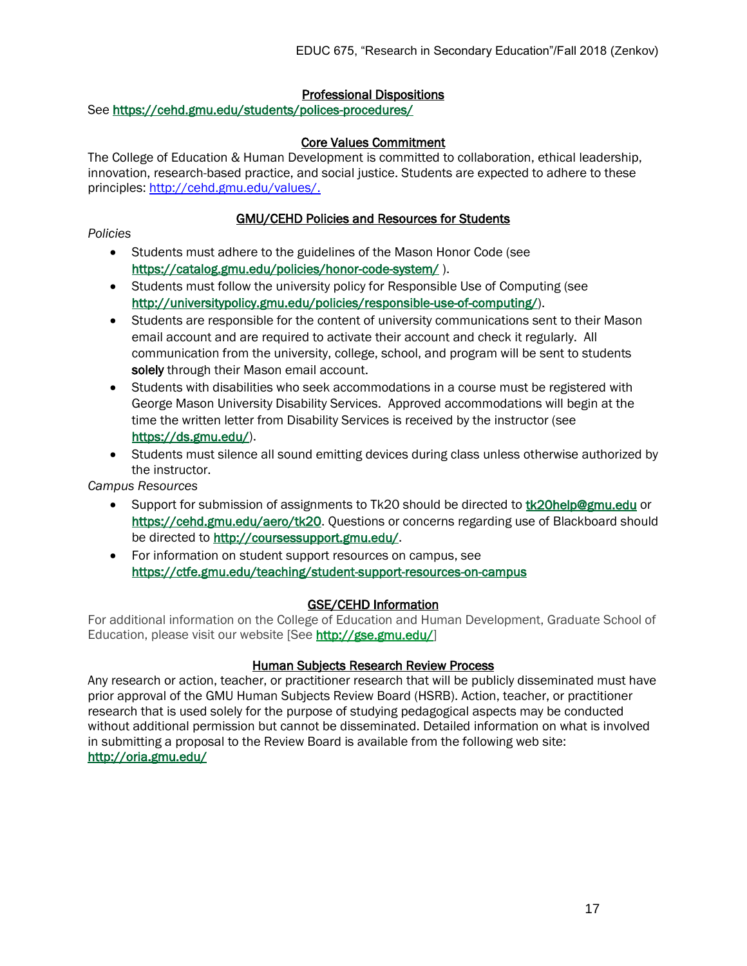# Professional Dispositions

See<https://cehd.gmu.edu/students/polices-procedures/>

#### Core Values Commitment

The College of Education & Human Development is committed to collaboration, ethical leadership, innovation, research-based practice, and social justice. Students are expected to adhere to these principles: [http://cehd.gmu.edu/values/.](http://cehd.gmu.edu/values/)

### GMU/CEHD Policies and Resources for Students

*Policies*

- Students must adhere to the guidelines of the Mason Honor Code (see <https://catalog.gmu.edu/policies/honor-code-system/> ).
- Students must follow the university policy for Responsible Use of Computing (see [http://universitypolicy.gmu.edu/policies/responsible-use-of-computing/\)](http://universitypolicy.gmu.edu/policies/responsible-use-of-computing/).
- Students are responsible for the content of university communications sent to their Mason email account and are required to activate their account and check it regularly. All communication from the university, college, school, and program will be sent to students solely through their Mason email account.
- Students with disabilities who seek accommodations in a course must be registered with George Mason University Disability Services. Approved accommodations will begin at the time the written letter from Disability Services is received by the instructor (see [https://ds.gmu.edu/\)](https://ds.gmu.edu/).
- Students must silence all sound emitting devices during class unless otherwise authorized by the instructor.

*Campus Resources*

- Support for submission of assignments to Tk20 should be directed to [tk20help@gmu.edu](mailto:tk20help@gmu.edu) or [https://cehd.gmu.edu/aero/tk20.](https://cehd.gmu.edu/aero/tk20) Questions or concerns regarding use of Blackboard should be directed to [http://coursessupport.gmu.edu/.](http://coursessupport.gmu.edu/)
- For information on student support resources on campus, see <https://ctfe.gmu.edu/teaching/student-support-resources-on-campus>

# GSE/CEHD Information

For additional information on the College of Education and Human Development, Graduate School of Education, please visit our website [See [http://gse.gmu.edu/\]](http://gse.gmu.edu/)

#### Human Subjects Research Review Process

Any research or action, teacher, or practitioner research that will be publicly disseminated must have prior approval of the GMU Human Subjects Review Board (HSRB). Action, teacher, or practitioner research that is used solely for the purpose of studying pedagogical aspects may be conducted without additional permission but cannot be disseminated. Detailed information on what is involved in submitting a proposal to the Review Board is available from the following web site: <http://oria.gmu.edu/>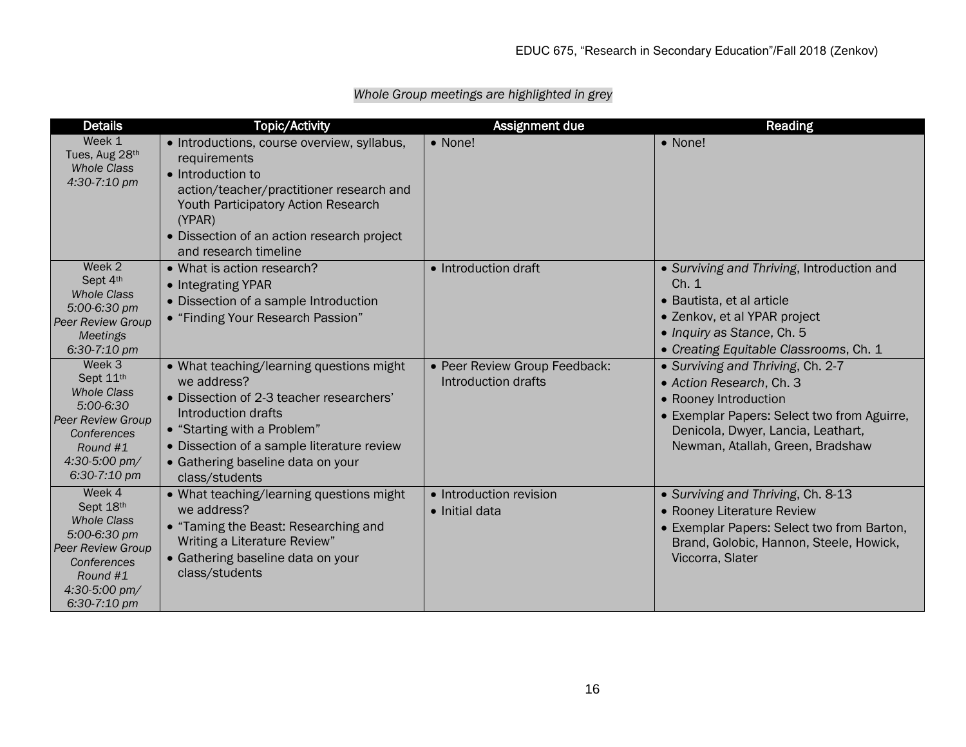| <b>Details</b>                                                                                                                                      | <b>Topic/Activity</b>                                                                                                                                                                                                                                          | Assignment due                                       | Reading                                                                                                                                                                                                         |
|-----------------------------------------------------------------------------------------------------------------------------------------------------|----------------------------------------------------------------------------------------------------------------------------------------------------------------------------------------------------------------------------------------------------------------|------------------------------------------------------|-----------------------------------------------------------------------------------------------------------------------------------------------------------------------------------------------------------------|
| Week 1<br>Tues, Aug 28th<br><b>Whole Class</b><br>4:30-7:10 pm                                                                                      | • Introductions, course overview, syllabus,<br>requirements<br>• Introduction to<br>action/teacher/practitioner research and<br><b>Youth Participatory Action Research</b><br>(YPAR)<br>• Dissection of an action research project<br>and research timeline    | • None!                                              | • None!                                                                                                                                                                                                         |
| Week 2<br>Sept 4th<br><b>Whole Class</b><br>5:00-6:30 pm<br><b>Peer Review Group</b><br><b>Meetings</b><br>6:30-7:10 pm                             | • What is action research?<br>• Integrating YPAR<br>• Dissection of a sample Introduction<br>• "Finding Your Research Passion"                                                                                                                                 | • Introduction draft                                 | • Surviving and Thriving, Introduction and<br>Ch. 1<br>• Bautista, et al article<br>• Zenkov, et al YPAR project<br>• Inquiry as Stance, Ch. 5<br>• Creating Equitable Classrooms, Ch. 1                        |
| Week 3<br>Sept 11th<br><b>Whole Class</b><br>5:00-6:30<br>Peer Review Group<br>Conferences<br>Round #1<br>4:30-5:00 pm/<br>6:30-7:10 pm             | • What teaching/learning questions might<br>we address?<br>• Dissection of 2-3 teacher researchers'<br>Introduction drafts<br>• "Starting with a Problem"<br>• Dissection of a sample literature review<br>• Gathering baseline data on your<br>class/students | • Peer Review Group Feedback:<br>Introduction drafts | • Surviving and Thriving, Ch. 2-7<br>• Action Research, Ch. 3<br>• Rooney Introduction<br>• Exemplar Papers: Select two from Aguirre,<br>Denicola, Dwyer, Lancia, Leathart,<br>Newman, Atallah, Green, Bradshaw |
| Week 4<br>Sept 18th<br><b>Whole Class</b><br>5:00-6:30 pm<br>Peer Review Group<br>Conferences<br>Round #1<br>$4:30-5:00 \text{ pm}$<br>6:30-7:10 pm | • What teaching/learning questions might<br>we address?<br>• "Taming the Beast: Researching and<br>Writing a Literature Review"<br>• Gathering baseline data on your<br>class/students                                                                         | • Introduction revision<br>· Initial data            | • Surviving and Thriving, Ch. 8-13<br>• Rooney Literature Review<br>• Exemplar Papers: Select two from Barton,<br>Brand, Golobic, Hannon, Steele, Howick,<br>Viccorra, Slater                                   |

# *Whole Group meetings are highlighted in grey*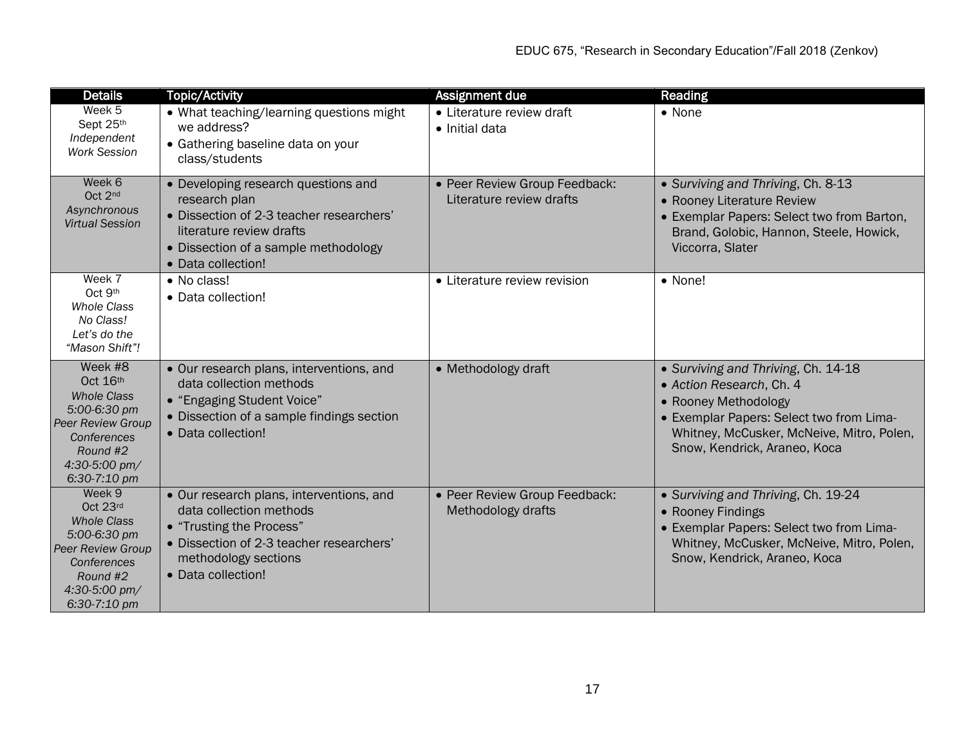| <b>Details</b>                                                                                                                                    | <b>Topic/Activity</b>                                                                                                                                                                      | Assignment due                                            | Reading                                                                                                                                                                                                          |
|---------------------------------------------------------------------------------------------------------------------------------------------------|--------------------------------------------------------------------------------------------------------------------------------------------------------------------------------------------|-----------------------------------------------------------|------------------------------------------------------------------------------------------------------------------------------------------------------------------------------------------------------------------|
| Week 5<br>Sept 25th<br>Independent<br><b>Work Session</b>                                                                                         | • What teaching/learning questions might<br>we address?<br>• Gathering baseline data on your<br>class/students                                                                             | • Literature review draft<br>• Initial data               | • None                                                                                                                                                                                                           |
| Week 6<br>Oct 2nd<br>Asynchronous<br><b>Virtual Session</b>                                                                                       | • Developing research questions and<br>research plan<br>• Dissection of 2-3 teacher researchers'<br>literature review drafts<br>• Dissection of a sample methodology<br>• Data collection! | • Peer Review Group Feedback:<br>Literature review drafts | • Surviving and Thriving, Ch. 8-13<br>• Rooney Literature Review<br>• Exemplar Papers: Select two from Barton,<br>Brand, Golobic, Hannon, Steele, Howick,<br>Viccorra, Slater                                    |
| Week 7<br>Oct 9th<br><b>Whole Class</b><br>No Class!<br>Let's do the<br>"Mason Shift"!                                                            | • No class!<br>• Data collection!                                                                                                                                                          | • Literature review revision                              | • None!                                                                                                                                                                                                          |
| Week #8<br>Oct 16th<br><b>Whole Class</b><br>5:00-6:30 pm<br><b>Peer Review Group</b><br>Conferences<br>Round #2<br>4:30-5:00 pm/<br>6:30-7:10 pm | • Our research plans, interventions, and<br>data collection methods<br>• "Engaging Student Voice"<br>• Dissection of a sample findings section<br>• Data collection!                       | • Methodology draft                                       | • Surviving and Thriving, Ch. 14-18<br>• Action Research, Ch. 4<br>• Rooney Methodology<br>• Exemplar Papers: Select two from Lima-<br>Whitney, McCusker, McNeive, Mitro, Polen,<br>Snow, Kendrick, Araneo, Koca |
| Week 9<br>Oct 23rd<br><b>Whole Class</b><br>5:00-6:30 pm<br><b>Peer Review Group</b><br>Conferences<br>Round #2<br>4:30-5:00 pm/<br>6:30-7:10 pm  | • Our research plans, interventions, and<br>data collection methods<br>• "Trusting the Process"<br>• Dissection of 2-3 teacher researchers'<br>methodology sections<br>• Data collection!  | • Peer Review Group Feedback:<br>Methodology drafts       | • Surviving and Thriving, Ch. 19-24<br>• Rooney Findings<br>• Exemplar Papers: Select two from Lima-<br>Whitney, McCusker, McNeive, Mitro, Polen,<br>Snow, Kendrick, Araneo, Koca                                |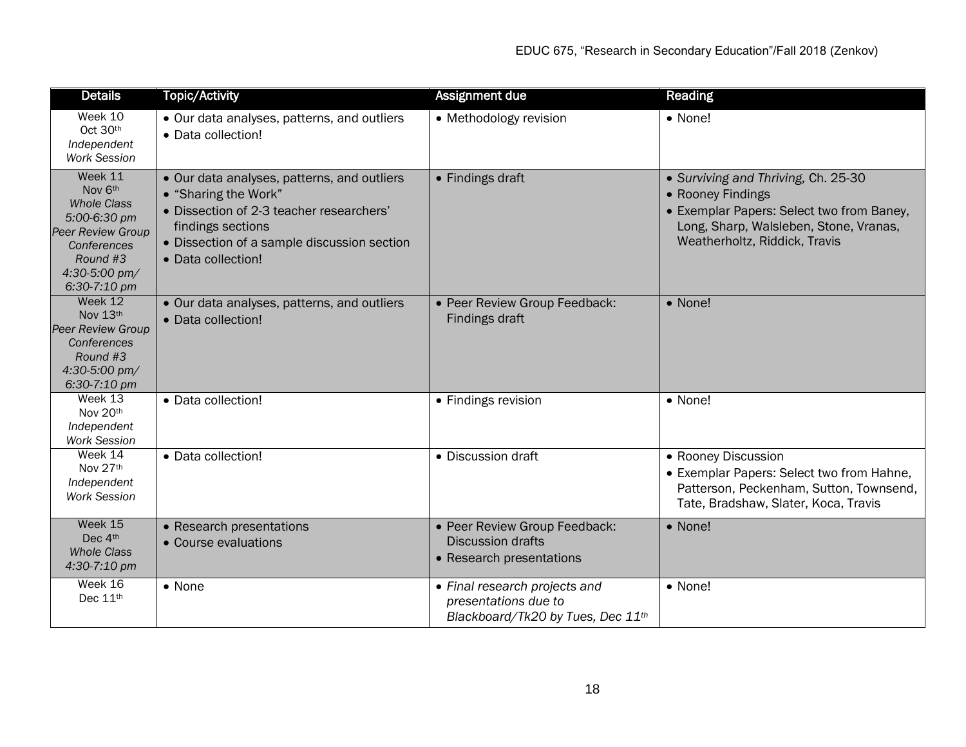| <b>Details</b>                                                                                                                                   | <b>Topic/Activity</b>                                                                                                                                                                                     | Assignment due                                                                             | Reading                                                                                                                                                                          |
|--------------------------------------------------------------------------------------------------------------------------------------------------|-----------------------------------------------------------------------------------------------------------------------------------------------------------------------------------------------------------|--------------------------------------------------------------------------------------------|----------------------------------------------------------------------------------------------------------------------------------------------------------------------------------|
| Week 10<br>Oct 30th<br>Independent<br><b>Work Session</b>                                                                                        | • Our data analyses, patterns, and outliers<br>• Data collection!                                                                                                                                         | • Methodology revision                                                                     | • None!                                                                                                                                                                          |
| Week 11<br>Nov 6th<br><b>Whole Class</b><br>5:00-6:30 pm<br><b>Peer Review Group</b><br>Conferences<br>Round #3<br>4:30-5:00 pm/<br>6:30-7:10 pm | • Our data analyses, patterns, and outliers<br>• "Sharing the Work"<br>· Dissection of 2-3 teacher researchers'<br>findings sections<br>• Dissection of a sample discussion section<br>• Data collection! | • Findings draft                                                                           | • Surviving and Thriving, Ch. 25-30<br>• Rooney Findings<br>• Exemplar Papers: Select two from Baney,<br>Long, Sharp, Walsleben, Stone, Vranas,<br>Weatherholtz, Riddick, Travis |
| Week 12<br>Nov 13th<br><b>Peer Review Group</b><br>Conferences<br>Round #3<br>4:30-5:00 pm/<br>6:30-7:10 pm                                      | • Our data analyses, patterns, and outliers<br>• Data collection!                                                                                                                                         | • Peer Review Group Feedback:<br>Findings draft                                            | • None!                                                                                                                                                                          |
| Week 13<br>Nov 20th<br>Independent<br><b>Work Session</b>                                                                                        | • Data collection!                                                                                                                                                                                        | • Findings revision                                                                        | $\bullet$ None!                                                                                                                                                                  |
| Week 14<br>Nov 27th<br>Independent<br><b>Work Session</b>                                                                                        | • Data collection!                                                                                                                                                                                        | • Discussion draft                                                                         | • Rooney Discussion<br>• Exemplar Papers: Select two from Hahne,<br>Patterson, Peckenham, Sutton, Townsend,<br>Tate, Bradshaw, Slater, Koca, Travis                              |
| Week 15<br>Dec 4th<br><b>Whole Class</b><br>4:30-7:10 pm                                                                                         | • Research presentations<br>• Course evaluations                                                                                                                                                          | • Peer Review Group Feedback:<br><b>Discussion drafts</b><br>• Research presentations      | • None!                                                                                                                                                                          |
| Week 16<br>Dec 11th                                                                                                                              | • None                                                                                                                                                                                                    | • Final research projects and<br>presentations due to<br>Blackboard/Tk20 by Tues, Dec 11th | • None!                                                                                                                                                                          |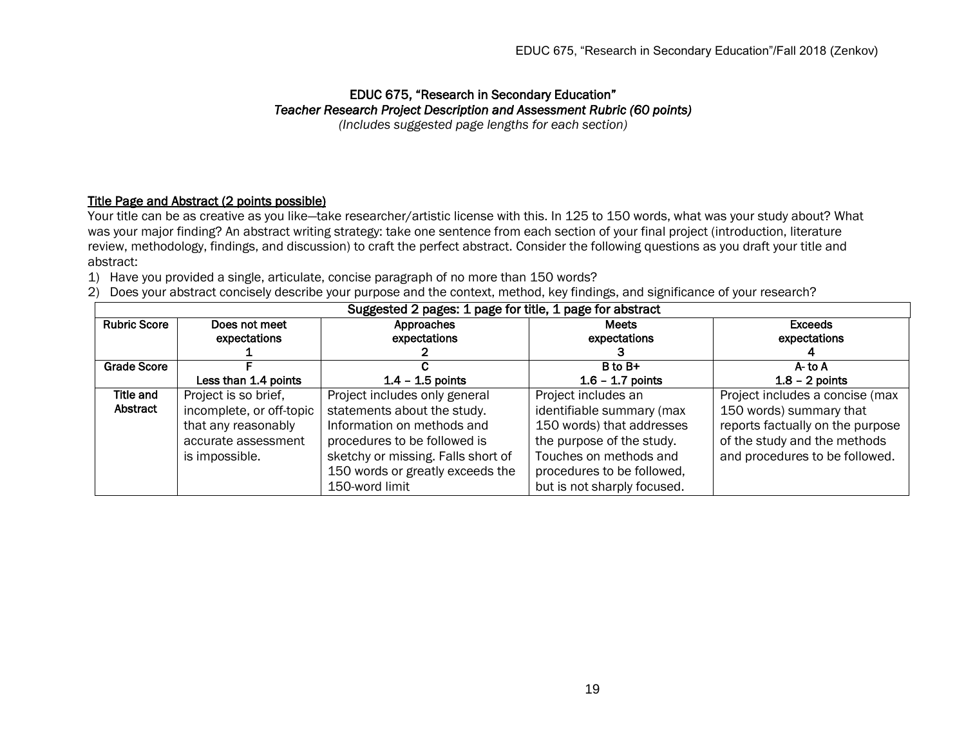#### EDUC 675, "Research in Secondary Education" *Teacher Research Project Description and Assessment Rubric (60 points) (Includes suggested page lengths for each section)*

Title Page and Abstract (2 points possible)

Your title can be as creative as you like—take researcher/artistic license with this. In 125 to 150 words, what was your study about? What was your major finding? An abstract writing strategy: take one sentence from each section of your final project (introduction, literature review, methodology, findings, and discussion) to craft the perfect abstract. Consider the following questions as you draft your title and abstract:

- 1) Have you provided a single, articulate, concise paragraph of no more than 150 words?
- 2) Does your abstract concisely describe your purpose and the context, method, key findings, and significance of your research?

| Suggested 2 pages: 1 page for title, 1 page for abstract |                          |                                    |                             |                                  |  |
|----------------------------------------------------------|--------------------------|------------------------------------|-----------------------------|----------------------------------|--|
| <b>Rubric Score</b>                                      | Does not meet            | Approaches                         | <b>Meets</b>                | <b>Exceeds</b>                   |  |
|                                                          | expectations             | expectations                       | expectations                | expectations                     |  |
|                                                          |                          |                                    |                             |                                  |  |
| <b>Grade Score</b>                                       |                          |                                    | B to B+                     | A-to A                           |  |
|                                                          | Less than 1.4 points     | $1.4 - 1.5$ points                 | $1.6 - 1.7$ points          | $1.8 - 2$ points                 |  |
| Title and                                                | Project is so brief,     | Project includes only general      | Project includes an         | Project includes a concise (max  |  |
| Abstract                                                 | incomplete, or off-topic | statements about the study.        | identifiable summary (max   | 150 words) summary that          |  |
|                                                          | that any reasonably      | Information on methods and         | 150 words) that addresses   | reports factually on the purpose |  |
|                                                          | accurate assessment      | procedures to be followed is       | the purpose of the study.   | of the study and the methods     |  |
|                                                          | is impossible.           | sketchy or missing. Falls short of | Touches on methods and      | and procedures to be followed.   |  |
|                                                          |                          | 150 words or greatly exceeds the   | procedures to be followed,  |                                  |  |
|                                                          |                          | 150-word limit                     | but is not sharply focused. |                                  |  |

Suggested 2 pages: 1 page for title, 1 page for abstract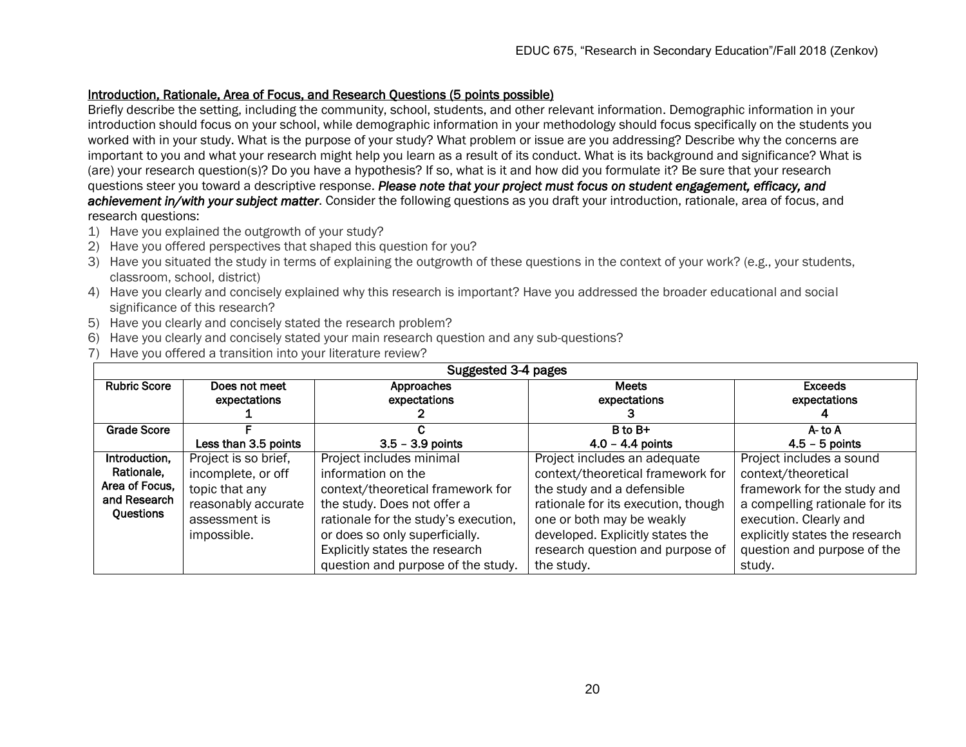## Introduction, Rationale, Area of Focus, and Research Questions (5 points possible)

Briefly describe the setting, including the community, school, students, and other relevant information. Demographic information in your introduction should focus on your school, while demographic information in your methodology should focus specifically on the students you worked with in your study. What is the purpose of your study? What problem or issue are you addressing? Describe why the concerns are important to you and what your research might help you learn as a result of its conduct. What is its background and significance? What is (are) your research question(s)? Do you have a hypothesis? If so, what is it and how did you formulate it? Be sure that your research questions steer you toward a descriptive response. *Please note that your project must focus on student engagement, efficacy, and achievement in/with your subject matter*. Consider the following questions as you draft your introduction, rationale, area of focus, and research questions:

- 1) Have you explained the outgrowth of your study?
- 2) Have you offered perspectives that shaped this question for you?
- 3) Have you situated the study in terms of explaining the outgrowth of these questions in the context of your work? (e.g., your students, classroom, school, district)
- 4) Have you clearly and concisely explained why this research is important? Have you addressed the broader educational and social significance of this research?
- 5) Have you clearly and concisely stated the research problem?
- 6) Have you clearly and concisely stated your main research question and any sub-questions?
- 7) Have you offered a transition into your literature review?

| Suggested 3-4 pages |                      |                                      |                                     |                                |  |
|---------------------|----------------------|--------------------------------------|-------------------------------------|--------------------------------|--|
| <b>Rubric Score</b> | Does not meet        | Approaches                           | <b>Meets</b>                        | <b>Exceeds</b>                 |  |
|                     | expectations         | expectations                         | expectations                        | expectations                   |  |
|                     |                      |                                      |                                     |                                |  |
| <b>Grade Score</b>  |                      |                                      | B to B+                             | A-to A                         |  |
|                     | Less than 3.5 points | $3.5 - 3.9$ points                   | $4.0 - 4.4$ points                  | $4.5 - 5$ points               |  |
| Introduction,       | Project is so brief, | Project includes minimal             | Project includes an adequate        | Project includes a sound       |  |
| Rationale.          | incomplete, or off   | information on the                   | context/theoretical framework for   | context/theoretical            |  |
| Area of Focus.      | topic that any       | context/theoretical framework for    | the study and a defensible          | framework for the study and    |  |
| and Research        | reasonably accurate  | the study. Does not offer a          | rationale for its execution, though | a compelling rationale for its |  |
| Questions           | assessment is        | rationale for the study's execution, | one or both may be weakly           | execution. Clearly and         |  |
|                     | impossible.          | or does so only superficially.       | developed. Explicitly states the    | explicitly states the research |  |
|                     |                      | Explicitly states the research       | research question and purpose of    | question and purpose of the    |  |
|                     |                      | question and purpose of the study.   | the study.                          | study.                         |  |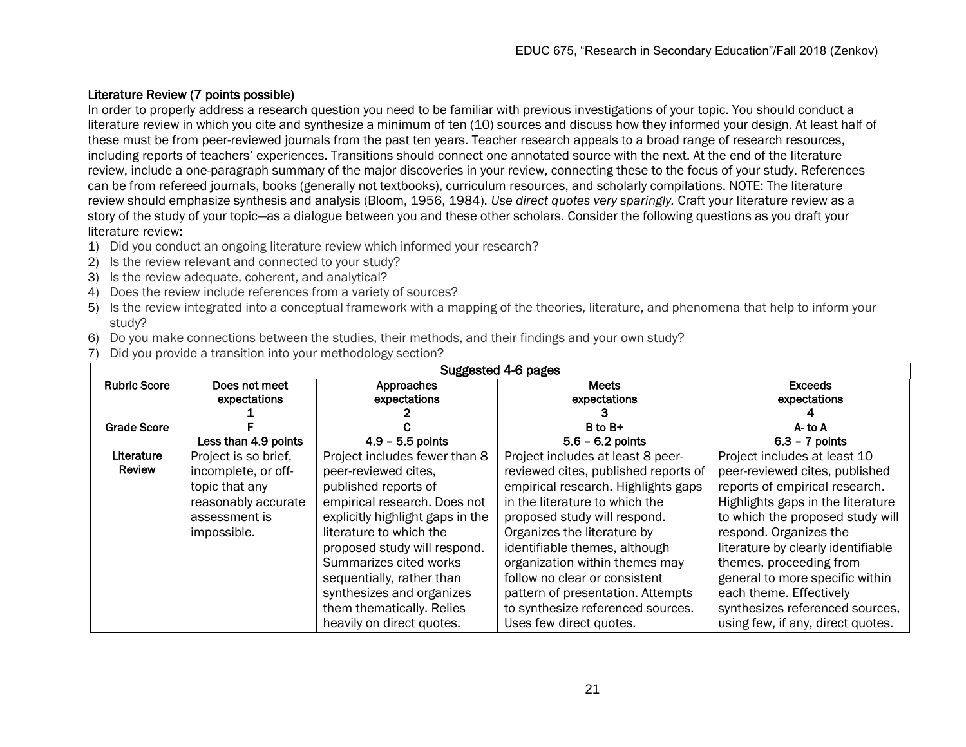# Literature Review (7 points possible)

In order to properly address a research question you need to be familiar with previous investigations of your topic. You should conduct a literature review in which you cite and synthesize a minimum of ten (10) sources and discuss how they informed your design. At least half of these must be from peer-reviewed journals from the past ten years. Teacher research appeals to a broad range of research resources, including reports of teachers' experiences. Transitions should connect one annotated source with the next. At the end of the literature review, include a one-paragraph summary of the major discoveries in your review, connecting these to the focus of your study. References can be from refereed journals, books (generally not textbooks), curriculum resources, and scholarly compilations. NOTE: The literature review should emphasize synthesis and analysis (Bloom, 1956, 1984). *Use direct quotes very sparingly.* Craft your literature review as a story of the study of your topic—as a dialogue between you and these other scholars. Consider the following questions as you draft your literature review:

- 1) Did you conduct an ongoing literature review which informed your research?
- 2) Is the review relevant and connected to your study?
- 3) Is the review adequate, coherent, and analytical?
- 4) Does the review include references from a variety of sources?
- 5) Is the review integrated into a conceptual framework with a mapping of the theories, literature, and phenomena that help to inform your study?
- 6) Do you make connections between the studies, their methods, and their findings and your own study?
- 7) Did you provide a transition into your methodology section?

| Suggested 4-6 pages |                      |                                  |                                      |                                    |  |
|---------------------|----------------------|----------------------------------|--------------------------------------|------------------------------------|--|
| <b>Rubric Score</b> | Does not meet        | Approaches                       | <b>Meets</b>                         | <b>Exceeds</b>                     |  |
|                     | expectations         | expectations                     | expectations                         | expectations                       |  |
|                     |                      |                                  |                                      |                                    |  |
| <b>Grade Score</b>  |                      |                                  | B to B+                              | A-to A                             |  |
|                     | Less than 4.9 points | $4.9 - 5.5$ points               | $5.6 - 6.2$ points                   | $6.3 - 7$ points                   |  |
| Literature          | Project is so brief, | Project includes fewer than 8    | Project includes at least 8 peer-    | Project includes at least 10       |  |
| <b>Review</b>       | incomplete, or off-  | peer-reviewed cites,             | reviewed cites, published reports of | peer-reviewed cites, published     |  |
|                     | topic that any       | published reports of             | empirical research. Highlights gaps  | reports of empirical research.     |  |
|                     | reasonably accurate  | empirical research. Does not     | in the literature to which the       | Highlights gaps in the literature  |  |
|                     | assessment is        | explicitly highlight gaps in the | proposed study will respond.         | to which the proposed study will   |  |
|                     | impossible.          | literature to which the          | Organizes the literature by          | respond. Organizes the             |  |
|                     |                      | proposed study will respond.     | identifiable themes, although        | literature by clearly identifiable |  |
|                     |                      | Summarizes cited works           | organization within themes may       | themes, proceeding from            |  |
|                     |                      | sequentially, rather than        | follow no clear or consistent        | general to more specific within    |  |
|                     |                      | synthesizes and organizes        | pattern of presentation. Attempts    | each theme. Effectively            |  |
|                     |                      | them thematically. Relies        | to synthesize referenced sources.    | synthesizes referenced sources,    |  |
|                     |                      | heavily on direct quotes.        | Uses few direct quotes.              | using few, if any, direct quotes.  |  |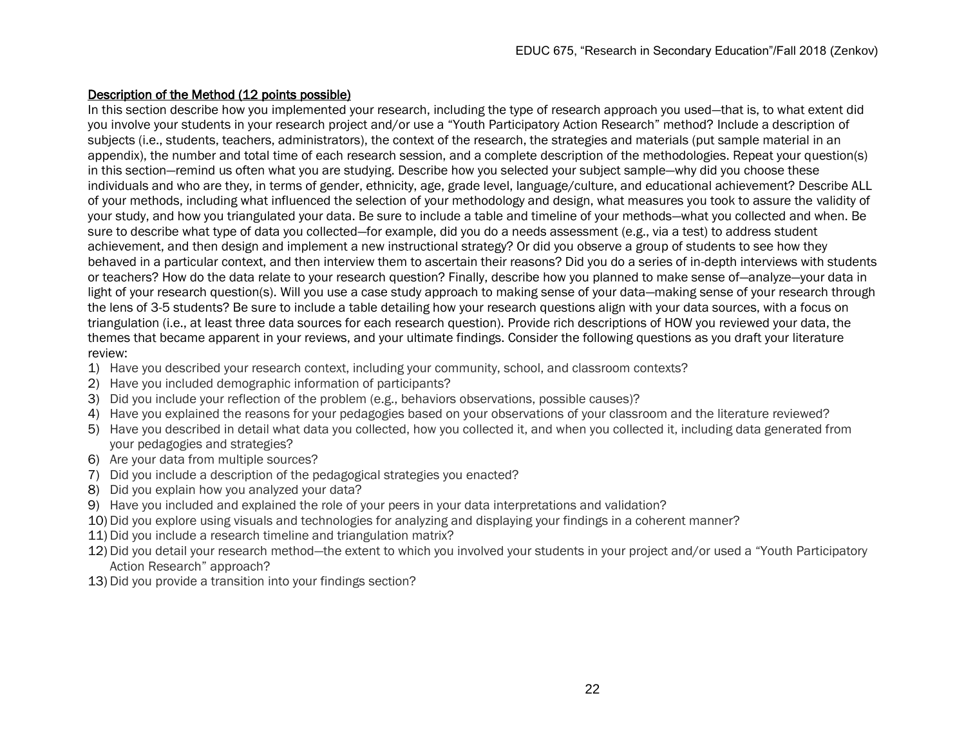# Description of the Method (12 points possible)

In this section describe how you implemented your research, including the type of research approach you used—that is, to what extent did you involve your students in your research project and/or use a "Youth Participatory Action Research" method? Include a description of subjects (i.e., students, teachers, administrators), the context of the research, the strategies and materials (put sample material in an appendix), the number and total time of each research session, and a complete description of the methodologies. Repeat your question(s) in this section—remind us often what you are studying. Describe how you selected your subject sample—why did you choose these individuals and who are they, in terms of gender, ethnicity, age, grade level, language/culture, and educational achievement? Describe ALL of your methods, including what influenced the selection of your methodology and design, what measures you took to assure the validity of your study, and how you triangulated your data. Be sure to include a table and timeline of your methods—what you collected and when. Be sure to describe what type of data you collected—for example, did you do a needs assessment (e.g., via a test) to address student achievement, and then design and implement a new instructional strategy? Or did you observe a group of students to see how they behaved in a particular context, and then interview them to ascertain their reasons? Did you do a series of in-depth interviews with students or teachers? How do the data relate to your research question? Finally, describe how you planned to make sense of—analyze—your data in light of your research question(s). Will you use a case study approach to making sense of your data—making sense of your research through the lens of 3-5 students? Be sure to include a table detailing how your research questions align with your data sources, with a focus on triangulation (i.e., at least three data sources for each research question). Provide rich descriptions of HOW you reviewed your data, the themes that became apparent in your reviews, and your ultimate findings. Consider the following questions as you draft your literature review:

- 1) Have you described your research context, including your community, school, and classroom contexts?
- 2) Have you included demographic information of participants?
- 3) Did you include your reflection of the problem (e.g., behaviors observations, possible causes)?
- 4) Have you explained the reasons for your pedagogies based on your observations of your classroom and the literature reviewed?
- 5) Have you described in detail what data you collected, how you collected it, and when you collected it, including data generated from your pedagogies and strategies?
- 6) Are your data from multiple sources?
- 7) Did you include a description of the pedagogical strategies you enacted?
- 8) Did you explain how you analyzed your data?
- 9) Have you included and explained the role of your peers in your data interpretations and validation?
- 10) Did you explore using visuals and technologies for analyzing and displaying your findings in a coherent manner?
- 11) Did you include a research timeline and triangulation matrix?
- 12) Did you detail your research method—the extent to which you involved your students in your project and/or used a "Youth Participatory Action Research" approach?
- 13) Did you provide a transition into your findings section?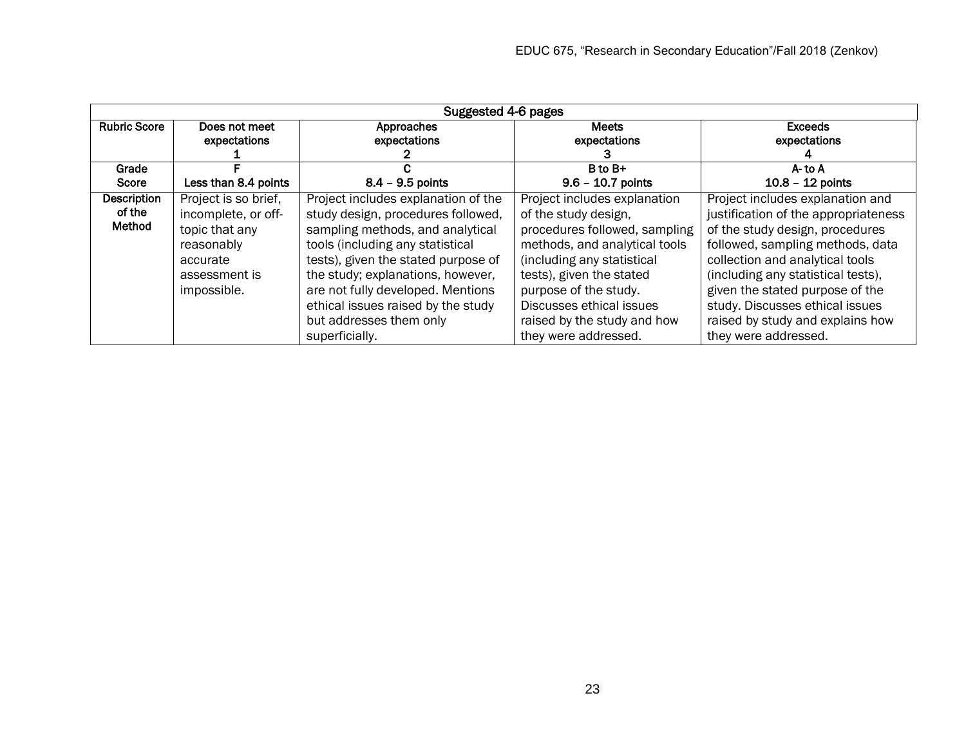| Suggested 4-6 pages                    |                                                                                                                         |                                                                                                                                                                                                                                                                                                                                                       |                                                                                                                                                                                                                                                                                              |                                                                                                                                                                                                                                                                                                                                                            |  |
|----------------------------------------|-------------------------------------------------------------------------------------------------------------------------|-------------------------------------------------------------------------------------------------------------------------------------------------------------------------------------------------------------------------------------------------------------------------------------------------------------------------------------------------------|----------------------------------------------------------------------------------------------------------------------------------------------------------------------------------------------------------------------------------------------------------------------------------------------|------------------------------------------------------------------------------------------------------------------------------------------------------------------------------------------------------------------------------------------------------------------------------------------------------------------------------------------------------------|--|
| <b>Rubric Score</b>                    | Does not meet<br>expectations                                                                                           | Approaches<br>expectations                                                                                                                                                                                                                                                                                                                            | <b>Meets</b><br>expectations                                                                                                                                                                                                                                                                 | <b>Exceeds</b><br>expectations                                                                                                                                                                                                                                                                                                                             |  |
| Grade                                  |                                                                                                                         |                                                                                                                                                                                                                                                                                                                                                       | $B$ to $B+$                                                                                                                                                                                                                                                                                  | $A$ - to $A$                                                                                                                                                                                                                                                                                                                                               |  |
| Score                                  | Less than 8.4 points                                                                                                    | $8.4 - 9.5$ points                                                                                                                                                                                                                                                                                                                                    | $9.6 - 10.7$ points                                                                                                                                                                                                                                                                          | $10.8 - 12$ points                                                                                                                                                                                                                                                                                                                                         |  |
| <b>Description</b><br>of the<br>Method | Project is so brief,<br>incomplete, or off-<br>topic that any<br>reasonably<br>accurate<br>assessment is<br>impossible. | Project includes explanation of the<br>study design, procedures followed,<br>sampling methods, and analytical<br>tools (including any statistical<br>tests), given the stated purpose of<br>the study; explanations, however,<br>are not fully developed. Mentions<br>ethical issues raised by the study<br>but addresses them only<br>superficially. | Project includes explanation<br>of the study design,<br>procedures followed, sampling<br>methods, and analytical tools<br>(including any statistical<br>tests), given the stated<br>purpose of the study.<br>Discusses ethical issues<br>raised by the study and how<br>they were addressed. | Project includes explanation and<br>justification of the appropriateness<br>of the study design, procedures<br>followed, sampling methods, data<br>collection and analytical tools<br>(including any statistical tests),<br>given the stated purpose of the<br>study. Discusses ethical issues<br>raised by study and explains how<br>they were addressed. |  |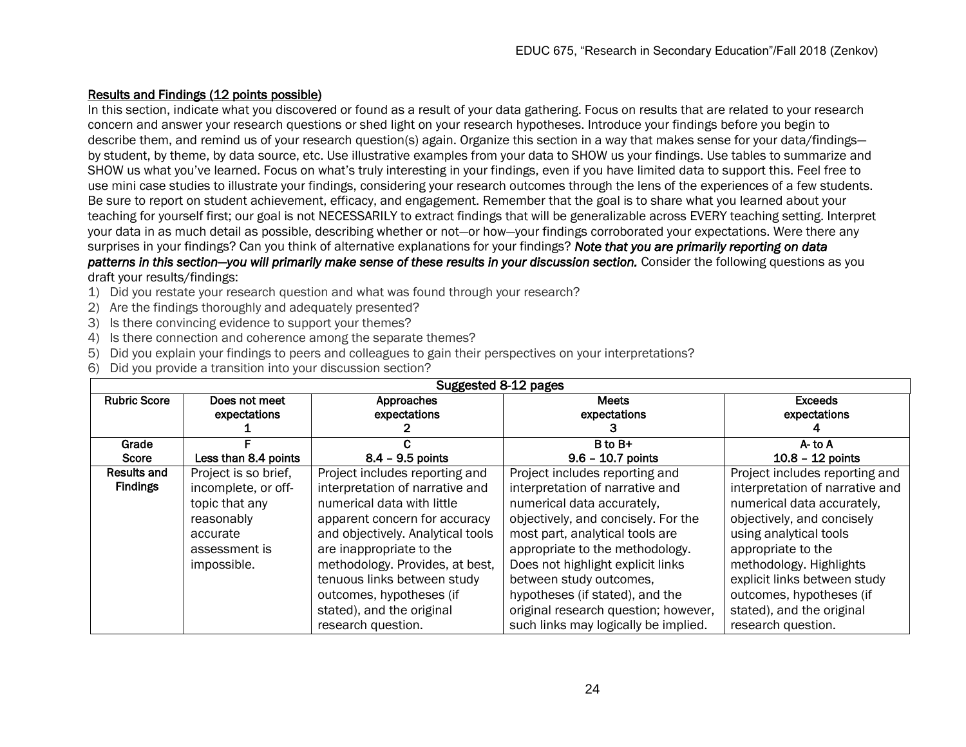# Results and Findings (12 points possible)

In this section, indicate what you discovered or found as a result of your data gathering. Focus on results that are related to your research concern and answer your research questions or shed light on your research hypotheses. Introduce your findings before you begin to describe them, and remind us of your research question(s) again. Organize this section in a way that makes sense for your data/findings by student, by theme, by data source, etc. Use illustrative examples from your data to SHOW us your findings. Use tables to summarize and SHOW us what you've learned. Focus on what's truly interesting in your findings, even if you have limited data to support this. Feel free to use mini case studies to illustrate your findings, considering your research outcomes through the lens of the experiences of a few students. Be sure to report on student achievement, efficacy, and engagement. Remember that the goal is to share what you learned about your teaching for yourself first; our goal is not NECESSARILY to extract findings that will be generalizable across EVERY teaching setting. Interpret your data in as much detail as possible, describing whether or not—or how—your findings corroborated your expectations. Were there any surprises in your findings? Can you think of alternative explanations for your findings? *Note that you are primarily reporting on data* 

*patterns in this section—you will primarily make sense of these results in your discussion section.* Consider the following questions as you draft your results/findings:

- 1) Did you restate your research question and what was found through your research?
- 2) Are the findings thoroughly and adequately presented?
- 3) Is there convincing evidence to support your themes?
- 4) Is there connection and coherence among the separate themes?
- 5) Did you explain your findings to peers and colleagues to gain their perspectives on your interpretations?
- 6) Did you provide a transition into your discussion section?

| Suggested 8-12 pages |                      |                                   |                                      |                                 |  |
|----------------------|----------------------|-----------------------------------|--------------------------------------|---------------------------------|--|
| <b>Rubric Score</b>  | Does not meet        | Approaches                        | <b>Meets</b>                         | <b>Exceeds</b>                  |  |
|                      | expectations         | expectations                      | expectations                         | expectations                    |  |
|                      |                      |                                   |                                      |                                 |  |
| Grade                |                      |                                   | B to B+                              | $A -$ to $A$                    |  |
| Score                | Less than 8.4 points | $8.4 - 9.5$ points                | $9.6 - 10.7$ points                  | $10.8 - 12$ points              |  |
| <b>Results and</b>   | Project is so brief, | Project includes reporting and    | Project includes reporting and       | Project includes reporting and  |  |
| <b>Findings</b>      | incomplete, or off-  | interpretation of narrative and   | interpretation of narrative and      | interpretation of narrative and |  |
|                      | topic that any       | numerical data with little        | numerical data accurately,           | numerical data accurately,      |  |
|                      | reasonably           | apparent concern for accuracy     | objectively, and concisely. For the  | objectively, and concisely      |  |
|                      | accurate             | and objectively. Analytical tools | most part, analytical tools are      | using analytical tools          |  |
|                      | assessment is        | are inappropriate to the          | appropriate to the methodology.      | appropriate to the              |  |
|                      | impossible.          | methodology. Provides, at best,   | Does not highlight explicit links    | methodology. Highlights         |  |
|                      |                      | tenuous links between study       | between study outcomes,              | explicit links between study    |  |
|                      |                      | outcomes, hypotheses (if          | hypotheses (if stated), and the      | outcomes, hypotheses (if        |  |
|                      |                      | stated), and the original         | original research question; however, | stated), and the original       |  |
|                      |                      | research question.                | such links may logically be implied. | research question.              |  |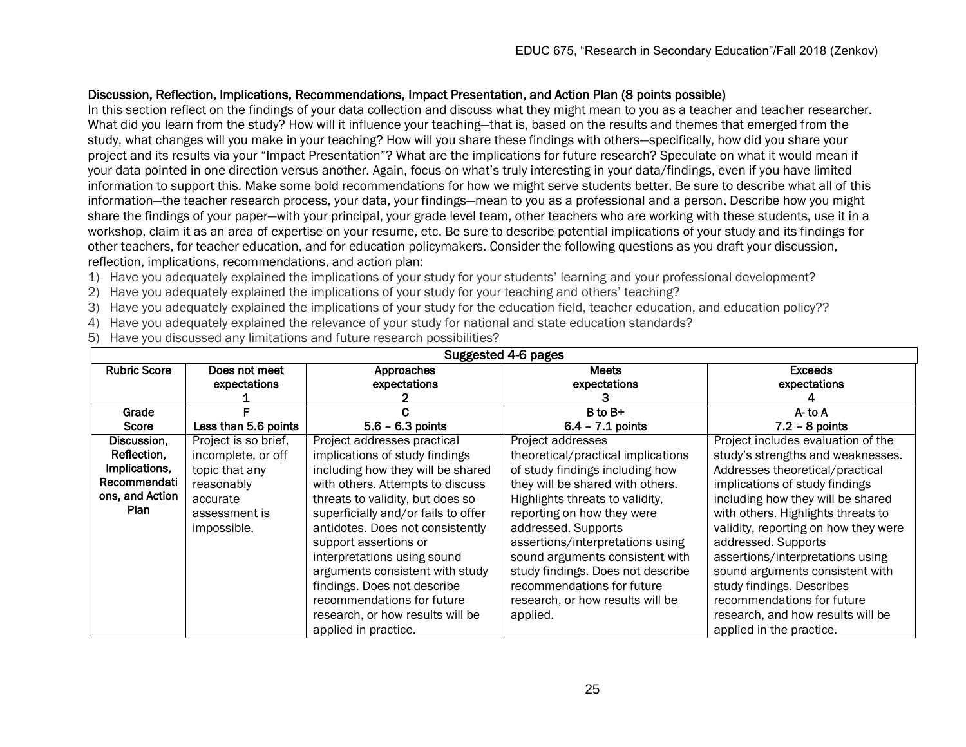# Discussion, Reflection, Implications, Recommendations, Impact Presentation, and Action Plan (8 points possible)

In this section reflect on the findings of your data collection and discuss what they might mean to you as a teacher and teacher researcher. What did you learn from the study? How will it influence your teaching—that is, based on the results and themes that emerged from the study, what changes will you make in your teaching? How will you share these findings with others—specifically, how did you share your project and its results via your "Impact Presentation"? What are the implications for future research? Speculate on what it would mean if your data pointed in one direction versus another. Again, focus on what's truly interesting in your data/findings, even if you have limited information to support this. Make some bold recommendations for how we might serve students better. Be sure to describe what all of this information—the teacher research process, your data, your findings—mean to you as a professional and a person. Describe how you might share the findings of your paper—with your principal, your grade level team, other teachers who are working with these students, use it in a workshop, claim it as an area of expertise on your resume, etc. Be sure to describe potential implications of your study and its findings for other teachers, for teacher education, and for education policymakers. Consider the following questions as you draft your discussion, reflection, implications, recommendations, and action plan:

- 1) Have you adequately explained the implications of your study for your students' learning and your professional development?
- 2) Have you adequately explained the implications of your study for your teaching and others' teaching?
- 3) Have you adequately explained the implications of your study for the education field, teacher education, and education policy??
- 4) Have you adequately explained the relevance of your study for national and state education standards?
- 5) Have you discussed any limitations and future research possibilities?

| Suggested 4-6 pages |                      |                                     |                                    |                                      |  |
|---------------------|----------------------|-------------------------------------|------------------------------------|--------------------------------------|--|
| <b>Rubric Score</b> | Does not meet        | Approaches                          | <b>Meets</b>                       | <b>Exceeds</b>                       |  |
|                     | expectations         | expectations                        | expectations                       | expectations                         |  |
|                     |                      |                                     |                                    |                                      |  |
| Grade               |                      |                                     | B to B+                            | A- to A                              |  |
| <b>Score</b>        | Less than 5.6 points | $5.6 - 6.3$ points                  | $6.4 - 7.1$ points                 | $7.2 - 8$ points                     |  |
| Discussion,         | Project is so brief, | Project addresses practical         | Project addresses                  | Project includes evaluation of the   |  |
| Reflection,         | incomplete, or off   | implications of study findings      | theoretical/practical implications | study's strengths and weaknesses.    |  |
| Implications,       | topic that any       | including how they will be shared   | of study findings including how    | Addresses theoretical/practical      |  |
| Recommendati        | reasonably           | with others. Attempts to discuss    | they will be shared with others.   | implications of study findings       |  |
| ons, and Action     | accurate             | threats to validity, but does so    | Highlights threats to validity,    | including how they will be shared    |  |
| Plan                | assessment is        | superficially and/or fails to offer | reporting on how they were         | with others. Highlights threats to   |  |
|                     | impossible.          | antidotes. Does not consistently    | addressed. Supports                | validity, reporting on how they were |  |
|                     |                      | support assertions or               | assertions/interpretations using   | addressed. Supports                  |  |
|                     |                      | interpretations using sound         | sound arguments consistent with    | assertions/interpretations using     |  |
|                     |                      | arguments consistent with study     | study findings. Does not describe  | sound arguments consistent with      |  |
|                     |                      | findings. Does not describe         | recommendations for future         | study findings. Describes            |  |
|                     |                      | recommendations for future          | research, or how results will be   | recommendations for future           |  |
|                     |                      | research, or how results will be    | applied.                           | research, and how results will be    |  |
|                     |                      | applied in practice.                |                                    | applied in the practice.             |  |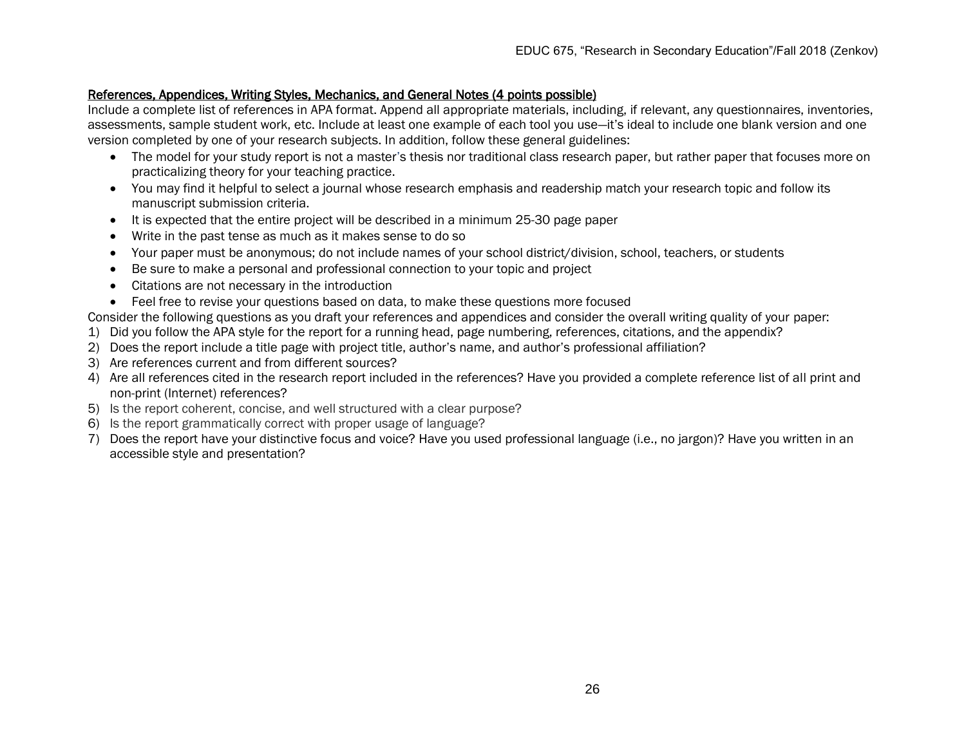### References, Appendices, Writing Styles, Mechanics, and General Notes (4 points possible)

Include a complete list of references in APA format. Append all appropriate materials, including, if relevant, any questionnaires, inventories, assessments, sample student work, etc. Include at least one example of each tool you use—it's ideal to include one blank version and one version completed by one of your research subjects. In addition, follow these general guidelines:

- The model for your study report is not a master's thesis nor traditional class research paper, but rather paper that focuses more on practicalizing theory for your teaching practice.
- You may find it helpful to select a journal whose research emphasis and readership match your research topic and follow its manuscript submission criteria.
- It is expected that the entire project will be described in a minimum 25-30 page paper
- Write in the past tense as much as it makes sense to do so
- Your paper must be anonymous; do not include names of your school district/division, school, teachers, or students
- Be sure to make a personal and professional connection to your topic and project
- Citations are not necessary in the introduction
- Feel free to revise your questions based on data, to make these questions more focused

Consider the following questions as you draft your references and appendices and consider the overall writing quality of your paper:

- 1) Did you follow the APA style for the report for a running head, page numbering, references, citations, and the appendix?
- 2) Does the report include a title page with project title, author's name, and author's professional affiliation?
- 3) Are references current and from different sources?
- 4) Are all references cited in the research report included in the references? Have you provided a complete reference list of all print and non-print (Internet) references?
- 5) Is the report coherent, concise, and well structured with a clear purpose?
- 6) Is the report grammatically correct with proper usage of language?
- 7) Does the report have your distinctive focus and voice? Have you used professional language (i.e., no jargon)? Have you written in an accessible style and presentation?